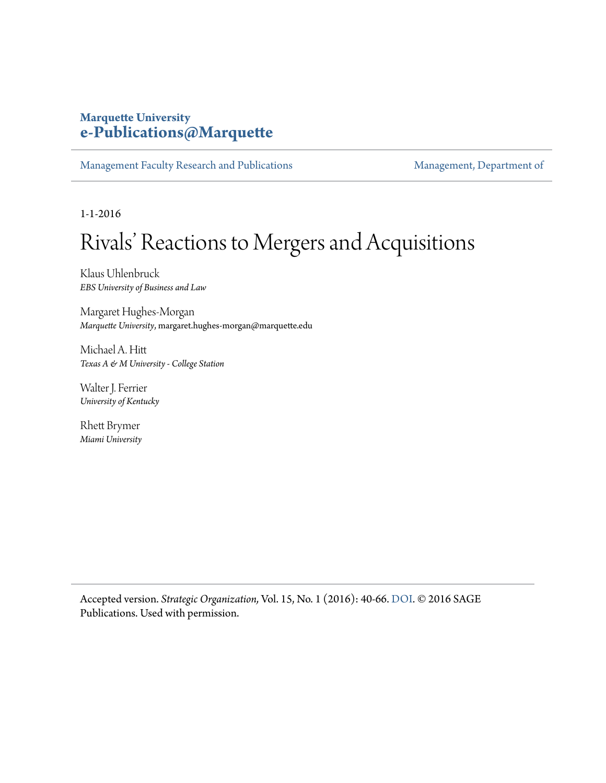## **Marquette University [e-Publications@Marquette](https://epublications.marquette.edu)**

[Management Faculty Research and Publications](https://epublications.marquette.edu/mgmt_fac) [Management, Department of](https://epublications.marquette.edu/mgmt)

1-1-2016

# Rivals' Reactions to Mergers and Acquisitions

Klaus Uhlenbruck *EBS University of Business and Law*

Margaret Hughes-Morgan *Marquette University*, margaret.hughes-morgan@marquette.edu

Michael A. Hitt *Texas A & M University - College Station*

Walter J. Ferrier *University of Kentucky*

Rhett Brymer *Miami University*

Accepted version. *Strategic Organization,* Vol. 15, No. 1 (2016): 40-66. [DOI](http://dx.doi.org/10.1177/1476127016630526). © 2016 SAGE Publications. Used with permission.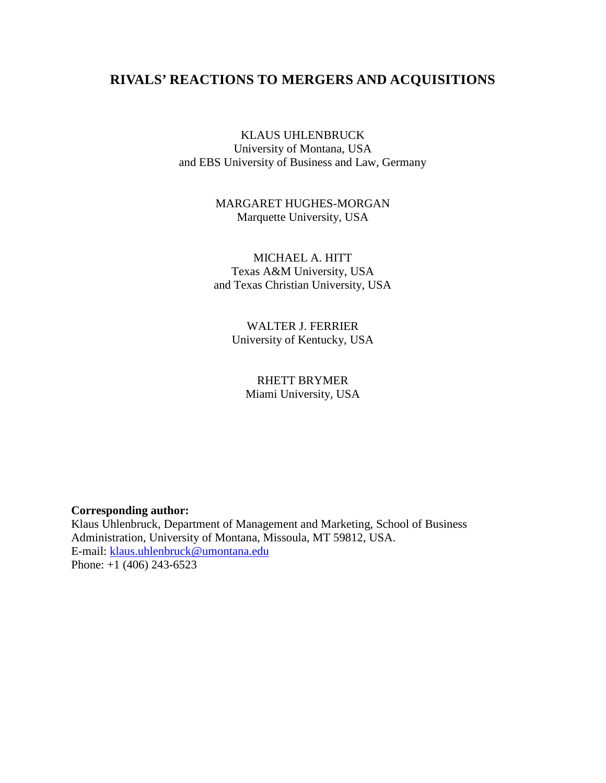## **RIVALS' REACTIONS TO MERGERS AND ACQUISITIONS**

KLAUS UHLENBRUCK University of Montana, USA and EBS University of Business and Law, Germany

> MARGARET HUGHES-MORGAN Marquette University, USA

MICHAEL A. HITT Texas A&M University, USA and Texas Christian University, USA

> WALTER J. FERRIER University of Kentucky, USA

RHETT BRYMER Miami University, USA

**Corresponding author:**

Klaus Uhlenbruck, Department of Management and Marketing, School of Business Administration, University of Montana, Missoula, MT 59812, USA. E-mail: [klaus.uhlenbruck@umontana.edu](mailto:klaus.uhlenbruck@umontana.edu) Phone: +1 (406) 243-6523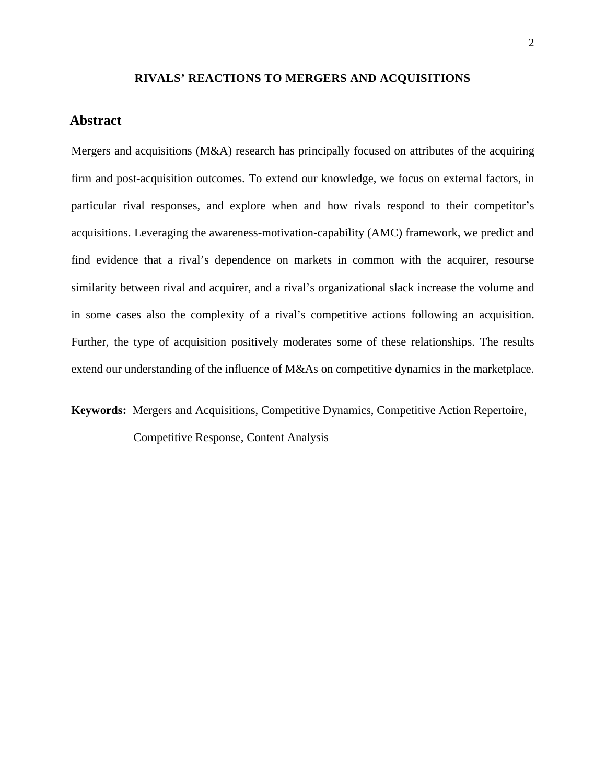#### **RIVALS' REACTIONS TO MERGERS AND ACQUISITIONS**

#### **Abstract**

Mergers and acquisitions (M&A) research has principally focused on attributes of the acquiring firm and post-acquisition outcomes. To extend our knowledge, we focus on external factors, in particular rival responses, and explore when and how rivals respond to their competitor's acquisitions. Leveraging the awareness-motivation-capability (AMC) framework, we predict and find evidence that a rival's dependence on markets in common with the acquirer, resourse similarity between rival and acquirer, and a rival's organizational slack increase the volume and in some cases also the complexity of a rival's competitive actions following an acquisition. Further, the type of acquisition positively moderates some of these relationships. The results extend our understanding of the influence of M&As on competitive dynamics in the marketplace.

**Keywords:** Mergers and Acquisitions, Competitive Dynamics, Competitive Action Repertoire,

Competitive Response, Content Analysis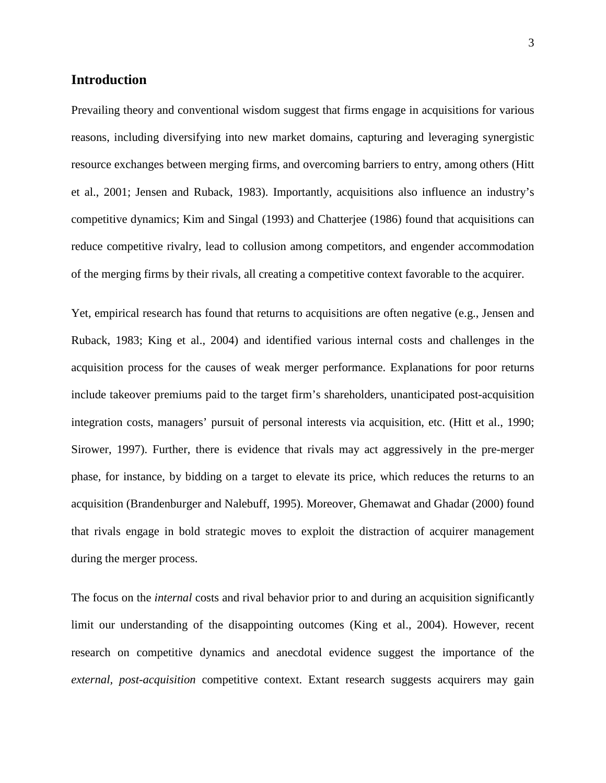### **Introduction**

Prevailing theory and conventional wisdom suggest that firms engage in acquisitions for various reasons, including diversifying into new market domains, capturing and leveraging synergistic resource exchanges between merging firms, and overcoming barriers to entry, among others (Hitt et al., 2001; Jensen and Ruback, 1983). Importantly, acquisitions also influence an industry's competitive dynamics; Kim and Singal (1993) and Chatterjee (1986) found that acquisitions can reduce competitive rivalry, lead to collusion among competitors, and engender accommodation of the merging firms by their rivals, all creating a competitive context favorable to the acquirer.

Yet, empirical research has found that returns to acquisitions are often negative (e.g., Jensen and Ruback, 1983; King et al., 2004) and identified various internal costs and challenges in the acquisition process for the causes of weak merger performance. Explanations for poor returns include takeover premiums paid to the target firm's shareholders, unanticipated post-acquisition integration costs, managers' pursuit of personal interests via acquisition, etc. (Hitt et al., 1990; Sirower, 1997). Further, there is evidence that rivals may act aggressively in the pre-merger phase, for instance, by bidding on a target to elevate its price, which reduces the returns to an acquisition (Brandenburger and Nalebuff, 1995). Moreover, Ghemawat and Ghadar (2000) found that rivals engage in bold strategic moves to exploit the distraction of acquirer management during the merger process.

The focus on the *internal* costs and rival behavior prior to and during an acquisition significantly limit our understanding of the disappointing outcomes (King et al., 2004). However, recent research on competitive dynamics and anecdotal evidence suggest the importance of the *external, post-acquisition* competitive context. Extant research suggests acquirers may gain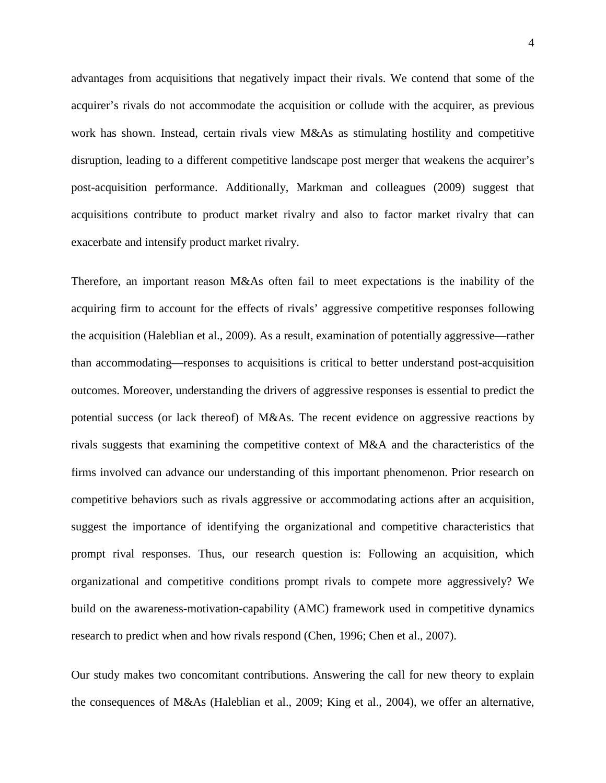advantages from acquisitions that negatively impact their rivals. We contend that some of the acquirer's rivals do not accommodate the acquisition or collude with the acquirer, as previous work has shown. Instead, certain rivals view M&As as stimulating hostility and competitive disruption, leading to a different competitive landscape post merger that weakens the acquirer's post-acquisition performance. Additionally, Markman and colleagues (2009) suggest that acquisitions contribute to product market rivalry and also to factor market rivalry that can exacerbate and intensify product market rivalry.

Therefore, an important reason M&As often fail to meet expectations is the inability of the acquiring firm to account for the effects of rivals' aggressive competitive responses following the acquisition (Haleblian et al., 2009). As a result, examination of potentially aggressive—rather than accommodating—responses to acquisitions is critical to better understand post-acquisition outcomes. Moreover, understanding the drivers of aggressive responses is essential to predict the potential success (or lack thereof) of M&As. The recent evidence on aggressive reactions by rivals suggests that examining the competitive context of M&A and the characteristics of the firms involved can advance our understanding of this important phenomenon. Prior research on competitive behaviors such as rivals aggressive or accommodating actions after an acquisition, suggest the importance of identifying the organizational and competitive characteristics that prompt rival responses. Thus, our research question is: Following an acquisition, which organizational and competitive conditions prompt rivals to compete more aggressively? We build on the awareness-motivation-capability (AMC) framework used in competitive dynamics research to predict when and how rivals respond (Chen, 1996; Chen et al., 2007).

Our study makes two concomitant contributions. Answering the call for new theory to explain the consequences of M&As (Haleblian et al., 2009; King et al., 2004), we offer an alternative,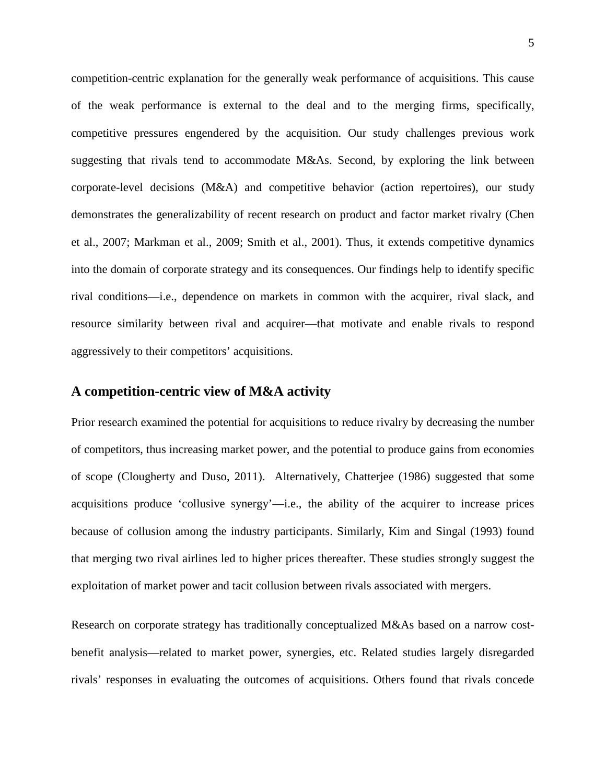competition-centric explanation for the generally weak performance of acquisitions. This cause of the weak performance is external to the deal and to the merging firms, specifically, competitive pressures engendered by the acquisition. Our study challenges previous work suggesting that rivals tend to accommodate M&As. Second, by exploring the link between corporate-level decisions (M&A) and competitive behavior (action repertoires), our study demonstrates the generalizability of recent research on product and factor market rivalry (Chen et al., 2007; Markman et al., 2009; Smith et al., 2001). Thus, it extends competitive dynamics into the domain of corporate strategy and its consequences. Our findings help to identify specific rival conditions—i.e., dependence on markets in common with the acquirer, rival slack, and resource similarity between rival and acquirer—that motivate and enable rivals to respond aggressively to their competitors' acquisitions.

#### **A competition-centric view of M&A activity**

Prior research examined the potential for acquisitions to reduce rivalry by decreasing the number of competitors, thus increasing market power, and the potential to produce gains from economies of scope (Clougherty and Duso, 2011). Alternatively, Chatterjee (1986) suggested that some acquisitions produce 'collusive synergy'—i.e., the ability of the acquirer to increase prices because of collusion among the industry participants. Similarly, Kim and Singal (1993) found that merging two rival airlines led to higher prices thereafter. These studies strongly suggest the exploitation of market power and tacit collusion between rivals associated with mergers.

Research on corporate strategy has traditionally conceptualized M&As based on a narrow costbenefit analysis—related to market power, synergies, etc. Related studies largely disregarded rivals' responses in evaluating the outcomes of acquisitions. Others found that rivals concede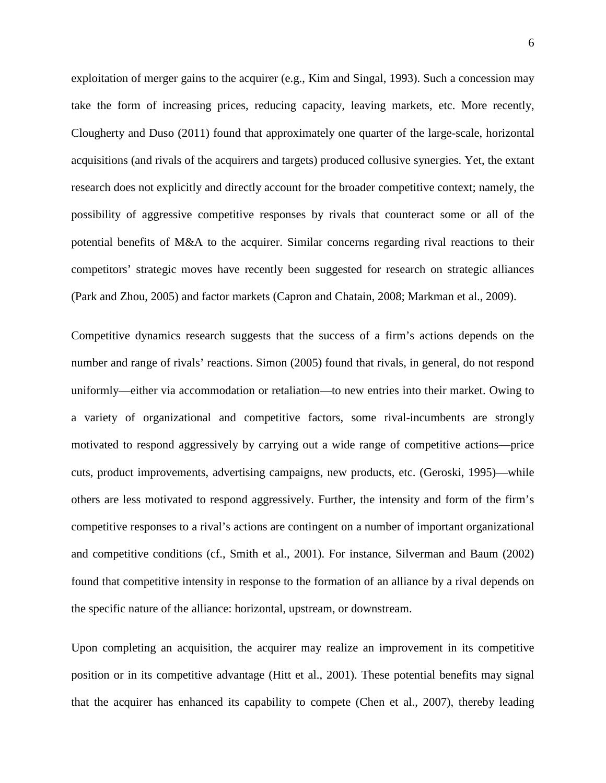exploitation of merger gains to the acquirer (e.g., Kim and Singal, 1993). Such a concession may take the form of increasing prices, reducing capacity, leaving markets, etc. More recently, Clougherty and Duso (2011) found that approximately one quarter of the large-scale, horizontal acquisitions (and rivals of the acquirers and targets) produced collusive synergies. Yet, the extant research does not explicitly and directly account for the broader competitive context; namely, the possibility of aggressive competitive responses by rivals that counteract some or all of the potential benefits of M&A to the acquirer. Similar concerns regarding rival reactions to their competitors' strategic moves have recently been suggested for research on strategic alliances (Park and Zhou, 2005) and factor markets (Capron and Chatain, 2008; Markman et al., 2009).

Competitive dynamics research suggests that the success of a firm's actions depends on the number and range of rivals' reactions. Simon (2005) found that rivals, in general, do not respond uniformly—either via accommodation or retaliation—to new entries into their market. Owing to a variety of organizational and competitive factors, some rival-incumbents are strongly motivated to respond aggressively by carrying out a wide range of competitive actions—price cuts, product improvements, advertising campaigns, new products, etc. (Geroski, 1995)—while others are less motivated to respond aggressively. Further, the intensity and form of the firm's competitive responses to a rival's actions are contingent on a number of important organizational and competitive conditions (cf., Smith et al., 2001). For instance, Silverman and Baum (2002) found that competitive intensity in response to the formation of an alliance by a rival depends on the specific nature of the alliance: horizontal, upstream, or downstream.

Upon completing an acquisition, the acquirer may realize an improvement in its competitive position or in its competitive advantage (Hitt et al., 2001). These potential benefits may signal that the acquirer has enhanced its capability to compete (Chen et al., 2007), thereby leading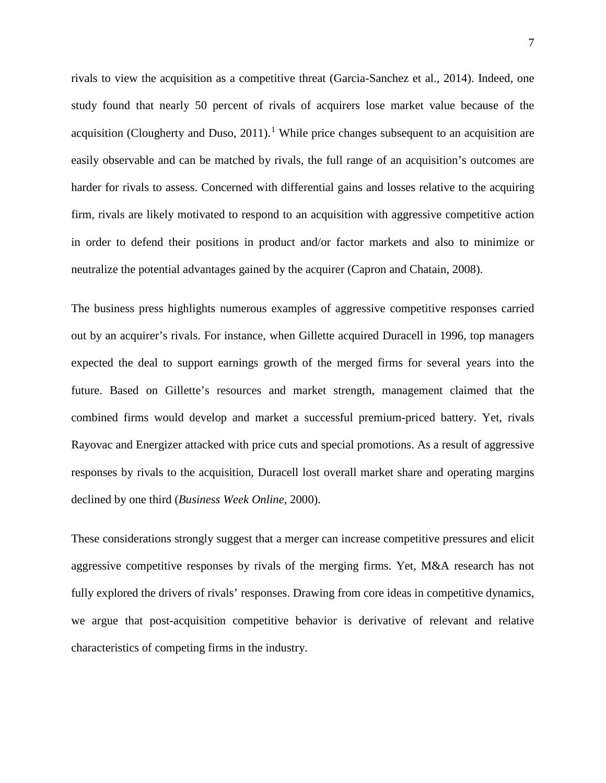rivals to view the acquisition as a competitive threat (Garcia-Sanchez et al., 2014). Indeed, one study found that nearly 50 percent of rivals of acquirers lose market value because of the acquisition (Clougherty and Duso,  $2011$  $2011$  $2011$ ).<sup>1</sup> While price changes subsequent to an acquisition are easily observable and can be matched by rivals, the full range of an acquisition's outcomes are harder for rivals to assess. Concerned with differential gains and losses relative to the acquiring firm, rivals are likely motivated to respond to an acquisition with aggressive competitive action in order to defend their positions in product and/or factor markets and also to minimize or neutralize the potential advantages gained by the acquirer (Capron and Chatain, 2008).

The business press highlights numerous examples of aggressive competitive responses carried out by an acquirer's rivals. For instance, when Gillette acquired Duracell in 1996, top managers expected the deal to support earnings growth of the merged firms for several years into the future. Based on Gillette's resources and market strength, management claimed that the combined firms would develop and market a successful premium-priced battery. Yet, rivals Rayovac and Energizer attacked with price cuts and special promotions. As a result of aggressive responses by rivals to the acquisition, Duracell lost overall market share and operating margins declined by one third (*Business Week Online*, 2000).

These considerations strongly suggest that a merger can increase competitive pressures and elicit aggressive competitive responses by rivals of the merging firms. Yet, M&A research has not fully explored the drivers of rivals' responses. Drawing from core ideas in competitive dynamics, we argue that post-acquisition competitive behavior is derivative of relevant and relative characteristics of competing firms in the industry.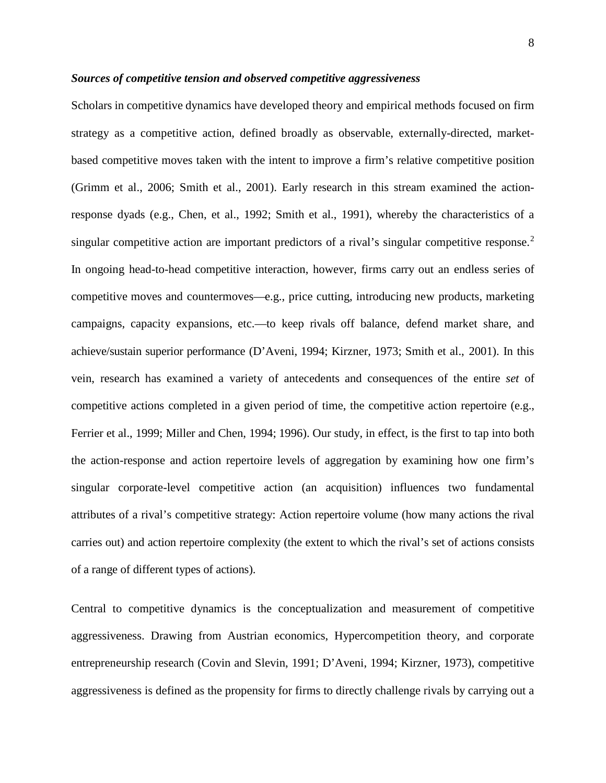#### *Sources of competitive tension and observed competitive aggressiveness*

Scholars in competitive dynamics have developed theory and empirical methods focused on firm strategy as a competitive action, defined broadly as observable, externally-directed, marketbased competitive moves taken with the intent to improve a firm's relative competitive position (Grimm et al., 2006; Smith et al., 2001). Early research in this stream examined the actionresponse dyads (e.g., Chen, et al., 1992; Smith et al., 1991), whereby the characteristics of a singular competitive action are important predictors of a rival's singular competitive response.<sup>[2](#page-35-1)</sup> In ongoing head-to-head competitive interaction, however, firms carry out an endless series of competitive moves and countermoves—e.g., price cutting, introducing new products, marketing campaigns, capacity expansions, etc.—to keep rivals off balance, defend market share, and achieve/sustain superior performance (D'Aveni, 1994; Kirzner, 1973; Smith et al., 2001). In this vein, research has examined a variety of antecedents and consequences of the entire *set* of competitive actions completed in a given period of time, the competitive action repertoire (e.g., Ferrier et al., 1999; Miller and Chen, 1994; 1996). Our study, in effect, is the first to tap into both the action-response and action repertoire levels of aggregation by examining how one firm's singular corporate-level competitive action (an acquisition) influences two fundamental attributes of a rival's competitive strategy: Action repertoire volume (how many actions the rival carries out) and action repertoire complexity (the extent to which the rival's set of actions consists of a range of different types of actions).

Central to competitive dynamics is the conceptualization and measurement of competitive aggressiveness. Drawing from Austrian economics, Hypercompetition theory, and corporate entrepreneurship research (Covin and Slevin, 1991; D'Aveni, 1994; Kirzner, 1973), competitive aggressiveness is defined as the propensity for firms to directly challenge rivals by carrying out a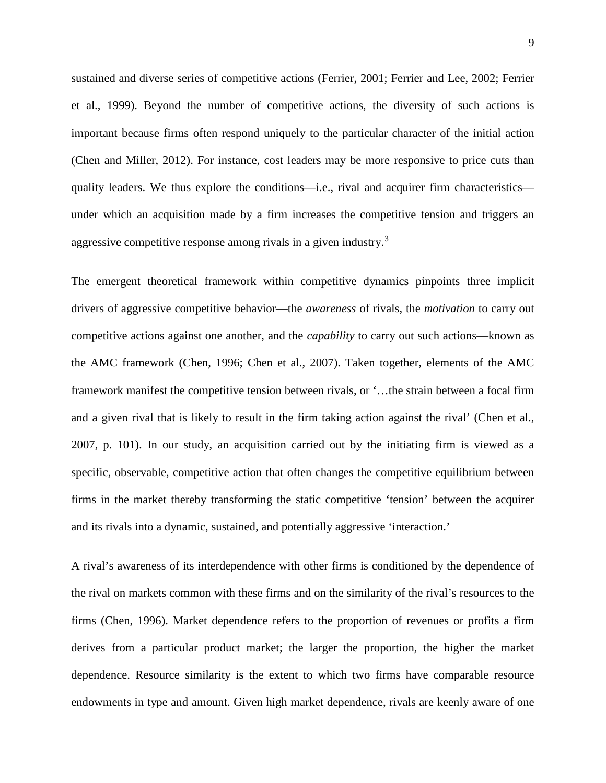sustained and diverse series of competitive actions (Ferrier, 2001; Ferrier and Lee, 2002; Ferrier et al., 1999). Beyond the number of competitive actions, the diversity of such actions is important because firms often respond uniquely to the particular character of the initial action (Chen and Miller, 2012). For instance, cost leaders may be more responsive to price cuts than quality leaders. We thus explore the conditions—i.e., rival and acquirer firm characteristics under which an acquisition made by a firm increases the competitive tension and triggers an aggressive competitive response among rivals in a given industry.[3](#page-35-2)

The emergent theoretical framework within competitive dynamics pinpoints three implicit drivers of aggressive competitive behavior—the *awareness* of rivals, the *motivation* to carry out competitive actions against one another, and the *capability* to carry out such actions—known as the AMC framework (Chen, 1996; Chen et al., 2007). Taken together, elements of the AMC framework manifest the competitive tension between rivals, or '…the strain between a focal firm and a given rival that is likely to result in the firm taking action against the rival' (Chen et al., 2007, p. 101). In our study, an acquisition carried out by the initiating firm is viewed as a specific, observable, competitive action that often changes the competitive equilibrium between firms in the market thereby transforming the static competitive 'tension' between the acquirer and its rivals into a dynamic, sustained, and potentially aggressive 'interaction.'

A rival's awareness of its interdependence with other firms is conditioned by the dependence of the rival on markets common with these firms and on the similarity of the rival's resources to the firms (Chen, 1996). Market dependence refers to the proportion of revenues or profits a firm derives from a particular product market; the larger the proportion, the higher the market dependence. Resource similarity is the extent to which two firms have comparable resource endowments in type and amount. Given high market dependence, rivals are keenly aware of one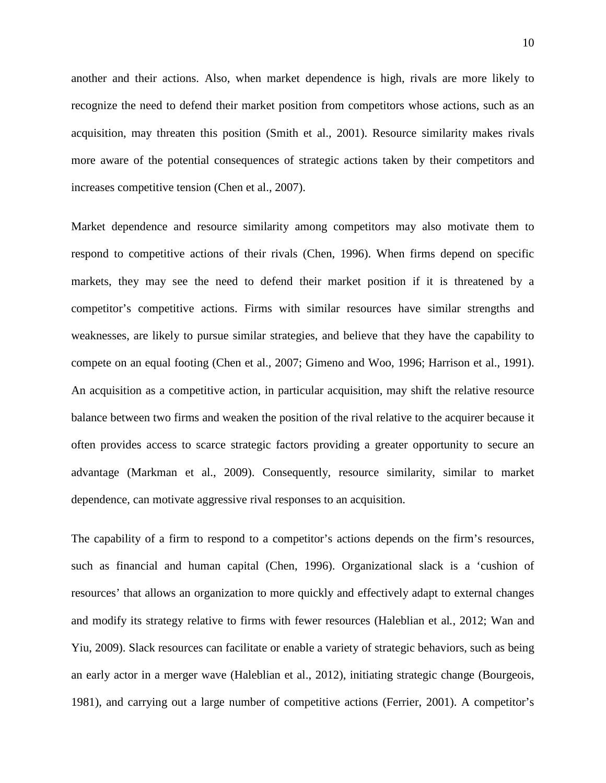another and their actions. Also, when market dependence is high, rivals are more likely to recognize the need to defend their market position from competitors whose actions, such as an acquisition, may threaten this position (Smith et al., 2001). Resource similarity makes rivals more aware of the potential consequences of strategic actions taken by their competitors and increases competitive tension (Chen et al., 2007).

Market dependence and resource similarity among competitors may also motivate them to respond to competitive actions of their rivals (Chen, 1996). When firms depend on specific markets, they may see the need to defend their market position if it is threatened by a competitor's competitive actions. Firms with similar resources have similar strengths and weaknesses, are likely to pursue similar strategies, and believe that they have the capability to compete on an equal footing (Chen et al., 2007; Gimeno and Woo, 1996; Harrison et al., 1991). An acquisition as a competitive action, in particular acquisition, may shift the relative resource balance between two firms and weaken the position of the rival relative to the acquirer because it often provides access to scarce strategic factors providing a greater opportunity to secure an advantage (Markman et al., 2009). Consequently, resource similarity, similar to market dependence, can motivate aggressive rival responses to an acquisition.

The capability of a firm to respond to a competitor's actions depends on the firm's resources, such as financial and human capital (Chen, 1996). Organizational slack is a 'cushion of resources' that allows an organization to more quickly and effectively adapt to external changes and modify its strategy relative to firms with fewer resources (Haleblian et al*.*, 2012; Wan and Yiu, 2009). Slack resources can facilitate or enable a variety of strategic behaviors, such as being an early actor in a merger wave (Haleblian et al., 2012), initiating strategic change (Bourgeois, 1981), and carrying out a large number of competitive actions (Ferrier, 2001). A competitor's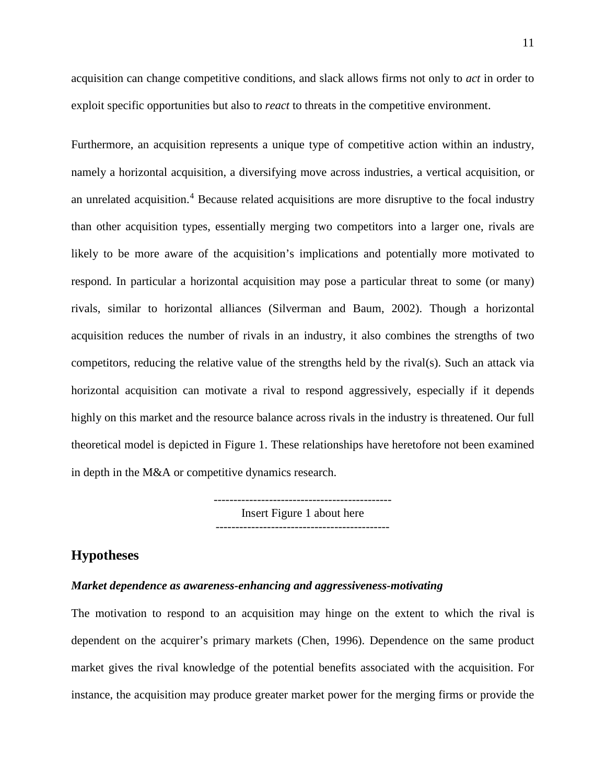acquisition can change competitive conditions, and slack allows firms not only to *act* in order to exploit specific opportunities but also to *react* to threats in the competitive environment.

Furthermore, an acquisition represents a unique type of competitive action within an industry, namely a horizontal acquisition, a diversifying move across industries, a vertical acquisition, or an unrelated acquisition. [4](#page-35-3) Because related acquisitions are more disruptive to the focal industry than other acquisition types, essentially merging two competitors into a larger one, rivals are likely to be more aware of the acquisition's implications and potentially more motivated to respond. In particular a horizontal acquisition may pose a particular threat to some (or many) rivals, similar to horizontal alliances (Silverman and Baum, 2002). Though a horizontal acquisition reduces the number of rivals in an industry, it also combines the strengths of two competitors, reducing the relative value of the strengths held by the rival(s). Such an attack via horizontal acquisition can motivate a rival to respond aggressively, especially if it depends highly on this market and the resource balance across rivals in the industry is threatened. Our full theoretical model is depicted in Figure 1. These relationships have heretofore not been examined in depth in the M&A or competitive dynamics research.

> --------------------------------------------- Insert Figure 1 about here --------------------------------------------

#### **Hypotheses**

#### *Market dependence as awareness-enhancing and aggressiveness-motivating*

The motivation to respond to an acquisition may hinge on the extent to which the rival is dependent on the acquirer's primary markets (Chen, 1996). Dependence on the same product market gives the rival knowledge of the potential benefits associated with the acquisition. For instance, the acquisition may produce greater market power for the merging firms or provide the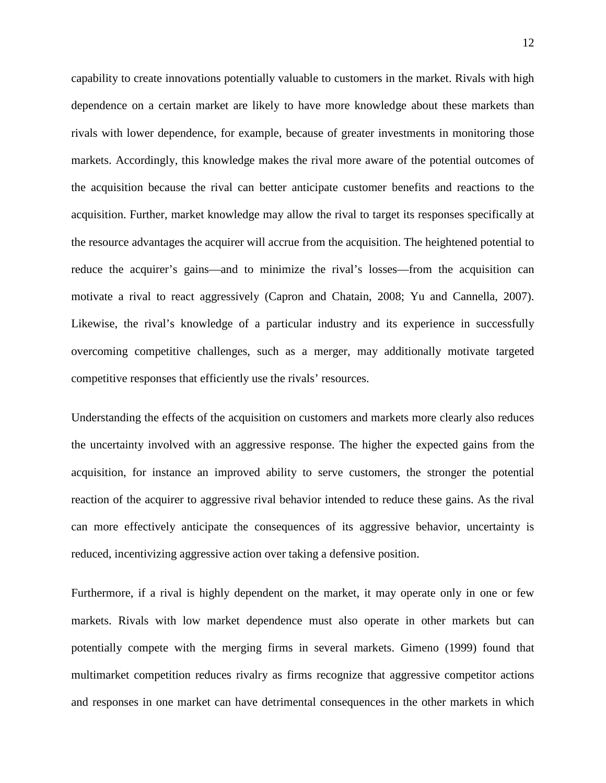capability to create innovations potentially valuable to customers in the market. Rivals with high dependence on a certain market are likely to have more knowledge about these markets than rivals with lower dependence, for example, because of greater investments in monitoring those markets. Accordingly, this knowledge makes the rival more aware of the potential outcomes of the acquisition because the rival can better anticipate customer benefits and reactions to the acquisition. Further, market knowledge may allow the rival to target its responses specifically at the resource advantages the acquirer will accrue from the acquisition. The heightened potential to reduce the acquirer's gains—and to minimize the rival's losses—from the acquisition can motivate a rival to react aggressively (Capron and Chatain, 2008; Yu and Cannella, 2007). Likewise, the rival's knowledge of a particular industry and its experience in successfully overcoming competitive challenges, such as a merger, may additionally motivate targeted competitive responses that efficiently use the rivals' resources.

Understanding the effects of the acquisition on customers and markets more clearly also reduces the uncertainty involved with an aggressive response. The higher the expected gains from the acquisition, for instance an improved ability to serve customers, the stronger the potential reaction of the acquirer to aggressive rival behavior intended to reduce these gains. As the rival can more effectively anticipate the consequences of its aggressive behavior, uncertainty is reduced, incentivizing aggressive action over taking a defensive position.

Furthermore, if a rival is highly dependent on the market, it may operate only in one or few markets. Rivals with low market dependence must also operate in other markets but can potentially compete with the merging firms in several markets. Gimeno (1999) found that multimarket competition reduces rivalry as firms recognize that aggressive competitor actions and responses in one market can have detrimental consequences in the other markets in which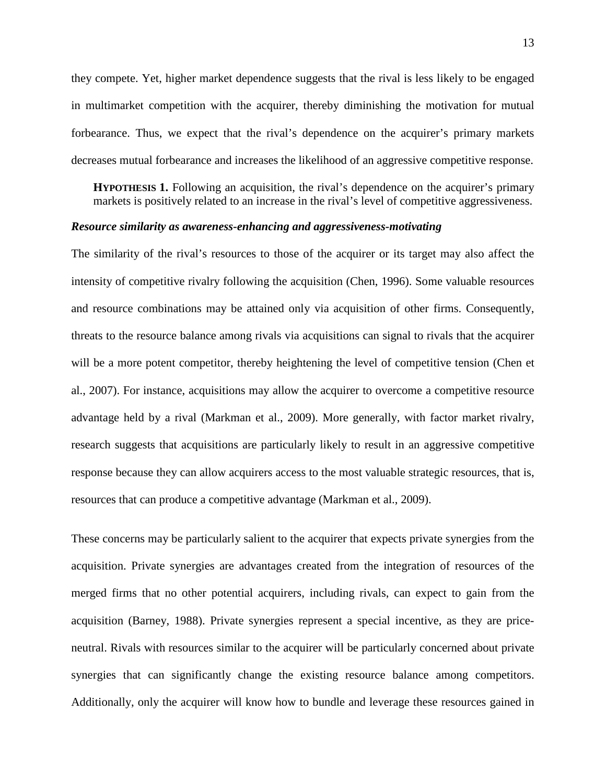they compete. Yet, higher market dependence suggests that the rival is less likely to be engaged in multimarket competition with the acquirer, thereby diminishing the motivation for mutual forbearance. Thus, we expect that the rival's dependence on the acquirer's primary markets decreases mutual forbearance and increases the likelihood of an aggressive competitive response.

**HYPOTHESIS 1.** Following an acquisition, the rival's dependence on the acquirer's primary markets is positively related to an increase in the rival's level of competitive aggressiveness.

#### *Resource similarity as awareness-enhancing and aggressiveness-motivating*

The similarity of the rival's resources to those of the acquirer or its target may also affect the intensity of competitive rivalry following the acquisition (Chen, 1996). Some valuable resources and resource combinations may be attained only via acquisition of other firms. Consequently, threats to the resource balance among rivals via acquisitions can signal to rivals that the acquirer will be a more potent competitor, thereby heightening the level of competitive tension (Chen et al., 2007). For instance, acquisitions may allow the acquirer to overcome a competitive resource advantage held by a rival (Markman et al., 2009). More generally, with factor market rivalry, research suggests that acquisitions are particularly likely to result in an aggressive competitive response because they can allow acquirers access to the most valuable strategic resources, that is, resources that can produce a competitive advantage (Markman et al., 2009).

These concerns may be particularly salient to the acquirer that expects private synergies from the acquisition. Private synergies are advantages created from the integration of resources of the merged firms that no other potential acquirers, including rivals, can expect to gain from the acquisition (Barney, 1988). Private synergies represent a special incentive, as they are priceneutral. Rivals with resources similar to the acquirer will be particularly concerned about private synergies that can significantly change the existing resource balance among competitors. Additionally, only the acquirer will know how to bundle and leverage these resources gained in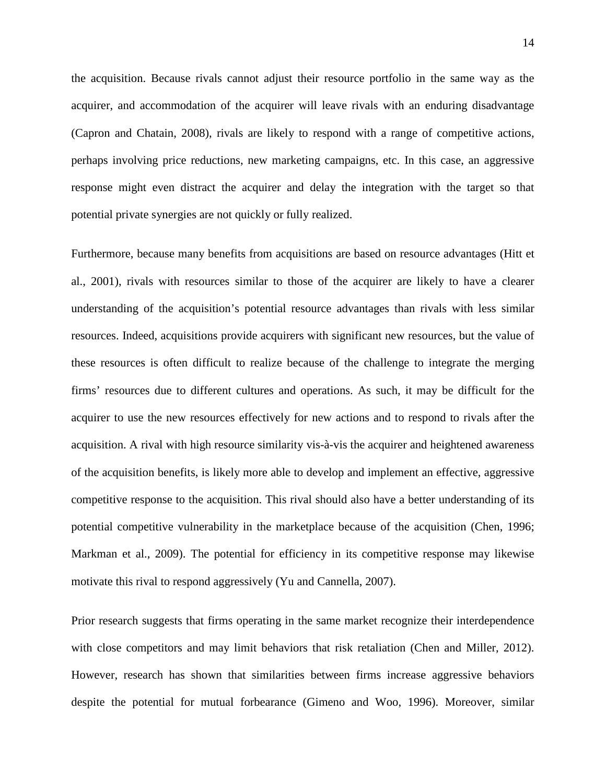the acquisition. Because rivals cannot adjust their resource portfolio in the same way as the acquirer, and accommodation of the acquirer will leave rivals with an enduring disadvantage (Capron and Chatain, 2008), rivals are likely to respond with a range of competitive actions, perhaps involving price reductions, new marketing campaigns, etc. In this case, an aggressive response might even distract the acquirer and delay the integration with the target so that potential private synergies are not quickly or fully realized.

Furthermore, because many benefits from acquisitions are based on resource advantages (Hitt et al., 2001), rivals with resources similar to those of the acquirer are likely to have a clearer understanding of the acquisition's potential resource advantages than rivals with less similar resources. Indeed, acquisitions provide acquirers with significant new resources, but the value of these resources is often difficult to realize because of the challenge to integrate the merging firms' resources due to different cultures and operations. As such, it may be difficult for the acquirer to use the new resources effectively for new actions and to respond to rivals after the acquisition. A rival with high resource similarity vis-à-vis the acquirer and heightened awareness of the acquisition benefits, is likely more able to develop and implement an effective, aggressive competitive response to the acquisition. This rival should also have a better understanding of its potential competitive vulnerability in the marketplace because of the acquisition (Chen, 1996; Markman et al., 2009). The potential for efficiency in its competitive response may likewise motivate this rival to respond aggressively (Yu and Cannella, 2007).

Prior research suggests that firms operating in the same market recognize their interdependence with close competitors and may limit behaviors that risk retaliation (Chen and Miller, 2012). However, research has shown that similarities between firms increase aggressive behaviors despite the potential for mutual forbearance (Gimeno and Woo, 1996). Moreover, similar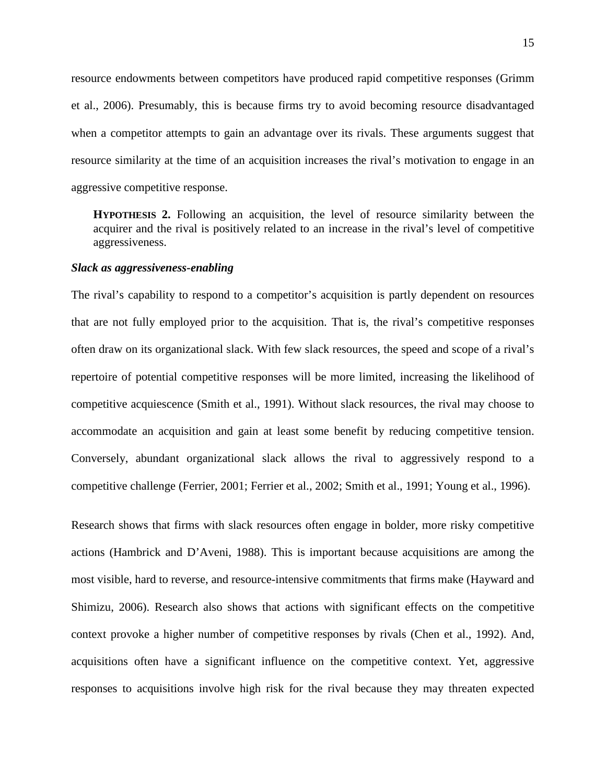resource endowments between competitors have produced rapid competitive responses (Grimm et al., 2006). Presumably, this is because firms try to avoid becoming resource disadvantaged when a competitor attempts to gain an advantage over its rivals. These arguments suggest that resource similarity at the time of an acquisition increases the rival's motivation to engage in an aggressive competitive response.

**HYPOTHESIS 2.** Following an acquisition, the level of resource similarity between the acquirer and the rival is positively related to an increase in the rival's level of competitive aggressiveness.

#### *Slack as aggressiveness-enabling*

The rival's capability to respond to a competitor's acquisition is partly dependent on resources that are not fully employed prior to the acquisition. That is, the rival's competitive responses often draw on its organizational slack. With few slack resources, the speed and scope of a rival's repertoire of potential competitive responses will be more limited, increasing the likelihood of competitive acquiescence (Smith et al., 1991). Without slack resources, the rival may choose to accommodate an acquisition and gain at least some benefit by reducing competitive tension. Conversely, abundant organizational slack allows the rival to aggressively respond to a competitive challenge (Ferrier, 2001; Ferrier et al., 2002; Smith et al., 1991; Young et al., 1996).

Research shows that firms with slack resources often engage in bolder, more risky competitive actions (Hambrick and D'Aveni, 1988). This is important because acquisitions are among the most visible, hard to reverse, and resource-intensive commitments that firms make (Hayward and Shimizu, 2006). Research also shows that actions with significant effects on the competitive context provoke a higher number of competitive responses by rivals (Chen et al., 1992). And, acquisitions often have a significant influence on the competitive context. Yet, aggressive responses to acquisitions involve high risk for the rival because they may threaten expected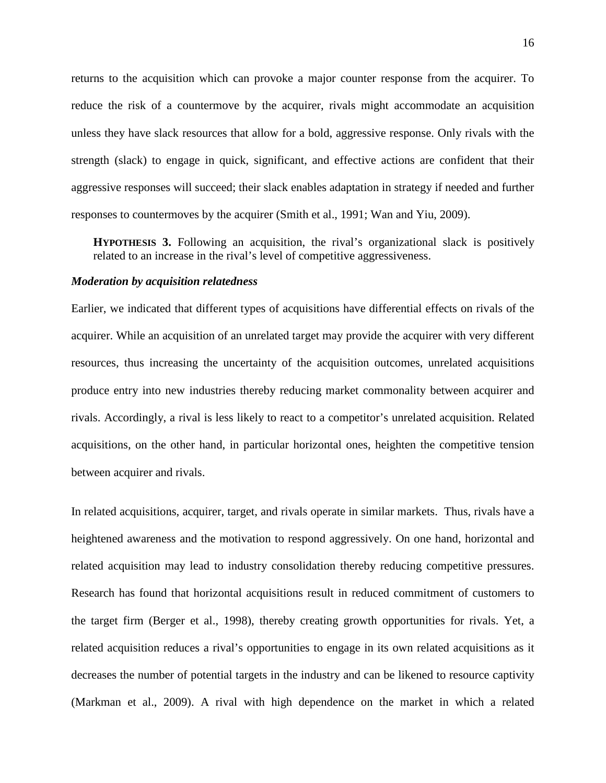returns to the acquisition which can provoke a major counter response from the acquirer. To reduce the risk of a countermove by the acquirer, rivals might accommodate an acquisition unless they have slack resources that allow for a bold, aggressive response. Only rivals with the strength (slack) to engage in quick, significant, and effective actions are confident that their aggressive responses will succeed; their slack enables adaptation in strategy if needed and further responses to countermoves by the acquirer (Smith et al., 1991; Wan and Yiu, 2009).

**HYPOTHESIS 3.** Following an acquisition, the rival's organizational slack is positively related to an increase in the rival's level of competitive aggressiveness.

#### *Moderation by acquisition relatedness*

Earlier, we indicated that different types of acquisitions have differential effects on rivals of the acquirer. While an acquisition of an unrelated target may provide the acquirer with very different resources, thus increasing the uncertainty of the acquisition outcomes, unrelated acquisitions produce entry into new industries thereby reducing market commonality between acquirer and rivals. Accordingly, a rival is less likely to react to a competitor's unrelated acquisition. Related acquisitions, on the other hand, in particular horizontal ones, heighten the competitive tension between acquirer and rivals.

In related acquisitions, acquirer, target, and rivals operate in similar markets. Thus, rivals have a heightened awareness and the motivation to respond aggressively. On one hand, horizontal and related acquisition may lead to industry consolidation thereby reducing competitive pressures. Research has found that horizontal acquisitions result in reduced commitment of customers to the target firm (Berger et al., 1998), thereby creating growth opportunities for rivals. Yet, a related acquisition reduces a rival's opportunities to engage in its own related acquisitions as it decreases the number of potential targets in the industry and can be likened to resource captivity (Markman et al., 2009). A rival with high dependence on the market in which a related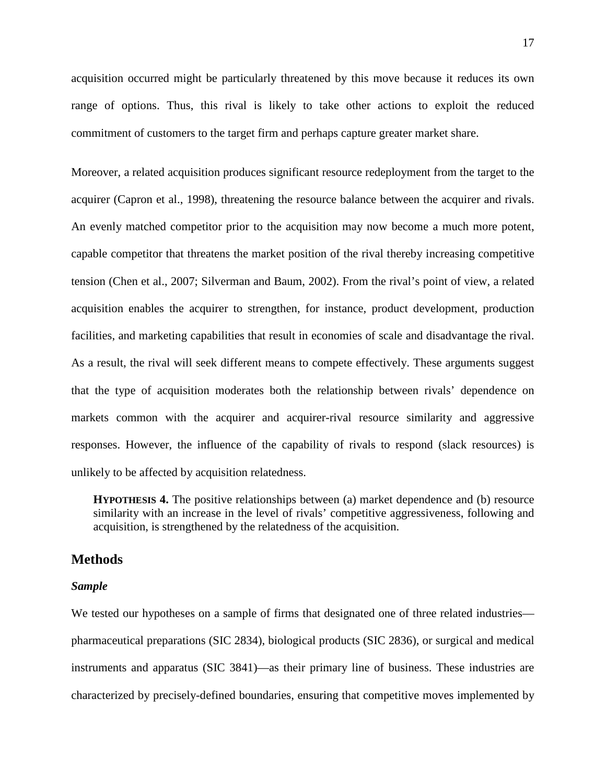acquisition occurred might be particularly threatened by this move because it reduces its own range of options. Thus, this rival is likely to take other actions to exploit the reduced commitment of customers to the target firm and perhaps capture greater market share.

Moreover, a related acquisition produces significant resource redeployment from the target to the acquirer (Capron et al., 1998), threatening the resource balance between the acquirer and rivals. An evenly matched competitor prior to the acquisition may now become a much more potent, capable competitor that threatens the market position of the rival thereby increasing competitive tension (Chen et al., 2007; Silverman and Baum, 2002). From the rival's point of view, a related acquisition enables the acquirer to strengthen, for instance, product development, production facilities, and marketing capabilities that result in economies of scale and disadvantage the rival. As a result, the rival will seek different means to compete effectively. These arguments suggest that the type of acquisition moderates both the relationship between rivals' dependence on markets common with the acquirer and acquirer-rival resource similarity and aggressive responses. However, the influence of the capability of rivals to respond (slack resources) is unlikely to be affected by acquisition relatedness.

**HYPOTHESIS 4.** The positive relationships between (a) market dependence and (b) resource similarity with an increase in the level of rivals' competitive aggressiveness, following and acquisition, is strengthened by the relatedness of the acquisition.

#### **Methods**

#### *Sample*

We tested our hypotheses on a sample of firms that designated one of three related industries pharmaceutical preparations (SIC 2834), biological products (SIC 2836), or surgical and medical instruments and apparatus (SIC 3841)—as their primary line of business. These industries are characterized by precisely-defined boundaries, ensuring that competitive moves implemented by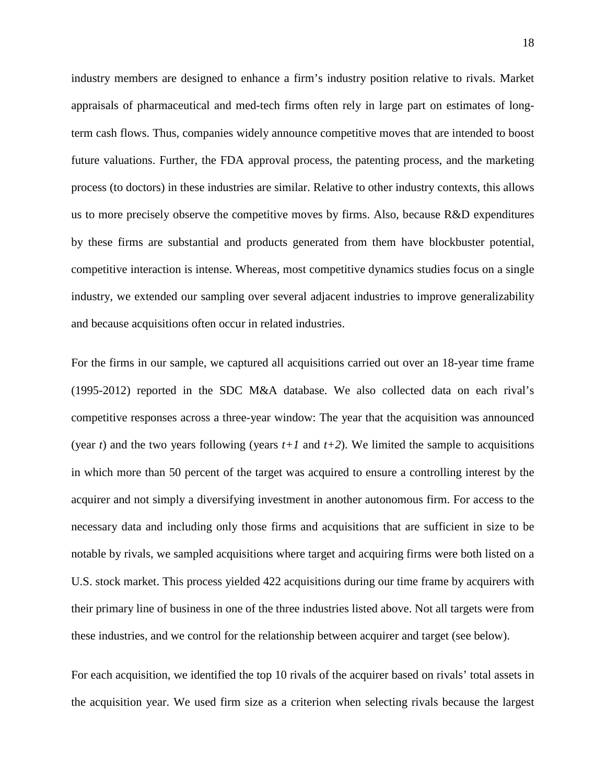industry members are designed to enhance a firm's industry position relative to rivals. Market appraisals of pharmaceutical and med-tech firms often rely in large part on estimates of longterm cash flows. Thus, companies widely announce competitive moves that are intended to boost future valuations. Further, the FDA approval process, the patenting process, and the marketing process (to doctors) in these industries are similar. Relative to other industry contexts, this allows us to more precisely observe the competitive moves by firms. Also, because R&D expenditures by these firms are substantial and products generated from them have blockbuster potential, competitive interaction is intense. Whereas, most competitive dynamics studies focus on a single industry, we extended our sampling over several adjacent industries to improve generalizability and because acquisitions often occur in related industries.

For the firms in our sample, we captured all acquisitions carried out over an 18-year time frame (1995-2012) reported in the SDC M&A database. We also collected data on each rival's competitive responses across a three-year window: The year that the acquisition was announced (year *t*) and the two years following (years  $t+1$  and  $t+2$ ). We limited the sample to acquisitions in which more than 50 percent of the target was acquired to ensure a controlling interest by the acquirer and not simply a diversifying investment in another autonomous firm. For access to the necessary data and including only those firms and acquisitions that are sufficient in size to be notable by rivals, we sampled acquisitions where target and acquiring firms were both listed on a U.S. stock market. This process yielded 422 acquisitions during our time frame by acquirers with their primary line of business in one of the three industries listed above. Not all targets were from these industries, and we control for the relationship between acquirer and target (see below).

For each acquisition, we identified the top 10 rivals of the acquirer based on rivals' total assets in the acquisition year. We used firm size as a criterion when selecting rivals because the largest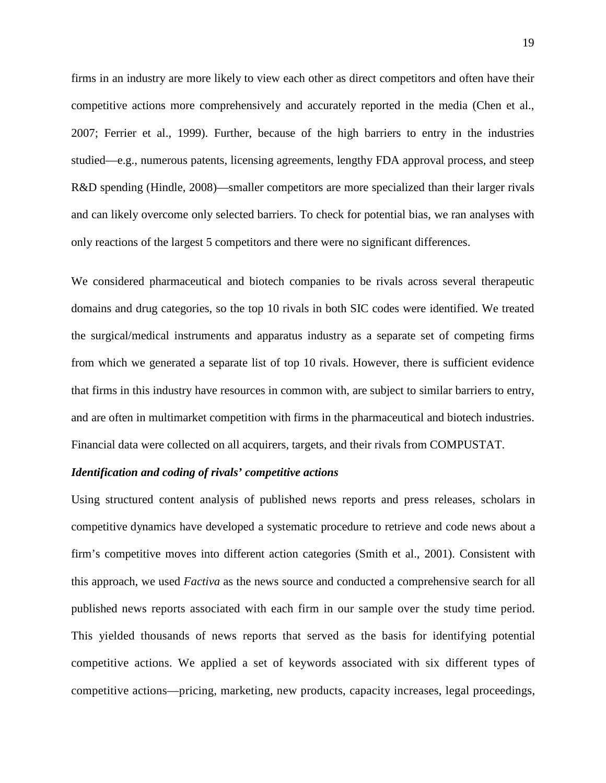firms in an industry are more likely to view each other as direct competitors and often have their competitive actions more comprehensively and accurately reported in the media (Chen et al., 2007; Ferrier et al., 1999). Further, because of the high barriers to entry in the industries studied—e.g., numerous patents, licensing agreements, lengthy FDA approval process, and steep R&D spending (Hindle, 2008)—smaller competitors are more specialized than their larger rivals and can likely overcome only selected barriers. To check for potential bias, we ran analyses with only reactions of the largest 5 competitors and there were no significant differences.

We considered pharmaceutical and biotech companies to be rivals across several therapeutic domains and drug categories, so the top 10 rivals in both SIC codes were identified. We treated the surgical/medical instruments and apparatus industry as a separate set of competing firms from which we generated a separate list of top 10 rivals. However, there is sufficient evidence that firms in this industry have resources in common with, are subject to similar barriers to entry, and are often in multimarket competition with firms in the pharmaceutical and biotech industries. Financial data were collected on all acquirers, targets, and their rivals from COMPUSTAT.

#### *Identification and coding of rivals' competitive actions*

Using structured content analysis of published news reports and press releases, scholars in competitive dynamics have developed a systematic procedure to retrieve and code news about a firm's competitive moves into different action categories (Smith et al., 2001). Consistent with this approach, we used *Factiva* as the news source and conducted a comprehensive search for all published news reports associated with each firm in our sample over the study time period. This yielded thousands of news reports that served as the basis for identifying potential competitive actions. We applied a set of keywords associated with six different types of competitive actions—pricing, marketing, new products, capacity increases, legal proceedings,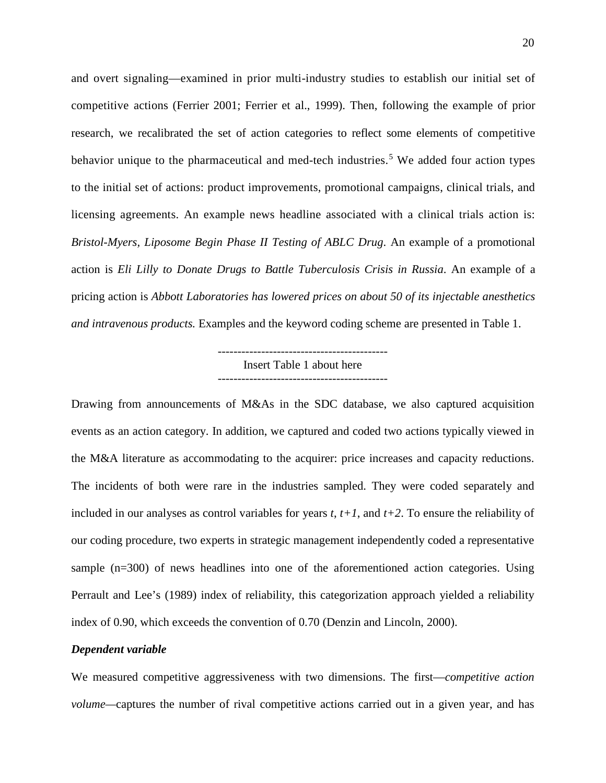and overt signaling—examined in prior multi-industry studies to establish our initial set of competitive actions (Ferrier 2001; Ferrier et al., 1999). Then, following the example of prior research, we recalibrated the set of action categories to reflect some elements of competitive behavior unique to the pharmaceutical and med-tech industries.<sup>[5](#page-35-4)</sup> We added four action types to the initial set of actions: product improvements, promotional campaigns, clinical trials, and licensing agreements. An example news headline associated with a clinical trials action is: *Bristol-Myers, Liposome Begin Phase II Testing of ABLC Drug*. An example of a promotional action is *Eli Lilly to Donate Drugs to Battle Tuberculosis Crisis in Russia*. An example of a pricing action is *Abbott Laboratories has lowered prices on about 50 of its injectable anesthetics and intravenous products.* Examples and the keyword coding scheme are presented in Table 1.

> ------------------------------------------- Insert Table 1 about here

Drawing from announcements of M&As in the SDC database, we also captured acquisition events as an action category. In addition, we captured and coded two actions typically viewed in the M&A literature as accommodating to the acquirer: price increases and capacity reductions. The incidents of both were rare in the industries sampled. They were coded separately and included in our analyses as control variables for years *t*, *t+1*, and *t+2*. To ensure the reliability of our coding procedure, two experts in strategic management independently coded a representative sample (n=300) of news headlines into one of the aforementioned action categories. Using Perrault and Lee's (1989) index of reliability, this categorization approach yielded a reliability index of 0.90, which exceeds the convention of 0.70 (Denzin and Lincoln, 2000).

#### *Dependent variable*

We measured competitive aggressiveness with two dimensions. The first—*competitive action volume—*captures the number of rival competitive actions carried out in a given year, and has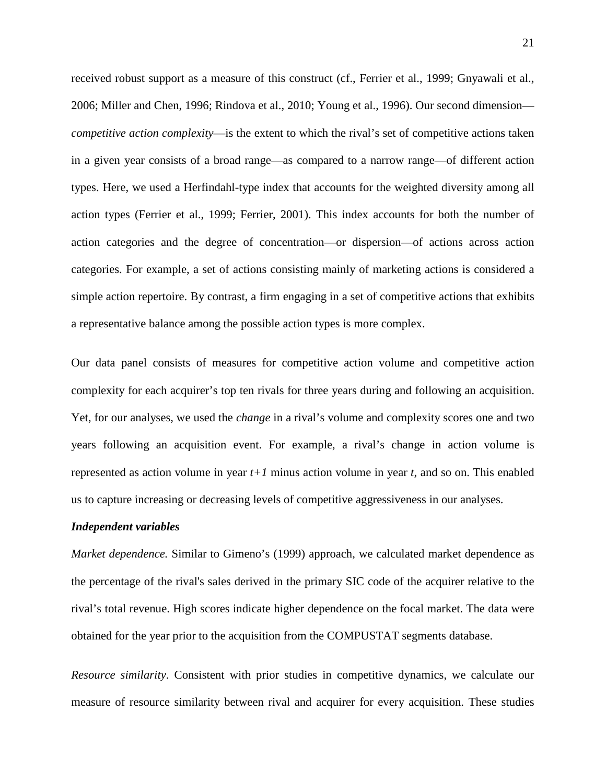received robust support as a measure of this construct (cf., Ferrier et al., 1999; Gnyawali et al., 2006; Miller and Chen, 1996; Rindova et al., 2010; Young et al., 1996). Our second dimension *competitive action complexity*—is the extent to which the rival's set of competitive actions taken in a given year consists of a broad range—as compared to a narrow range—of different action types. Here, we used a Herfindahl-type index that accounts for the weighted diversity among all action types (Ferrier et al., 1999; Ferrier, 2001). This index accounts for both the number of action categories and the degree of concentration—or dispersion—of actions across action categories. For example, a set of actions consisting mainly of marketing actions is considered a simple action repertoire. By contrast, a firm engaging in a set of competitive actions that exhibits a representative balance among the possible action types is more complex.

Our data panel consists of measures for competitive action volume and competitive action complexity for each acquirer's top ten rivals for three years during and following an acquisition. Yet, for our analyses, we used the *change* in a rival's volume and complexity scores one and two years following an acquisition event. For example, a rival's change in action volume is represented as action volume in year *t+1* minus action volume in year *t*, and so on. This enabled us to capture increasing or decreasing levels of competitive aggressiveness in our analyses.

#### *Independent variables*

*Market dependence.* Similar to Gimeno's (1999) approach, we calculated market dependence as the percentage of the rival's sales derived in the primary SIC code of the acquirer relative to the rival's total revenue. High scores indicate higher dependence on the focal market. The data were obtained for the year prior to the acquisition from the COMPUSTAT segments database.

*Resource similarity*. Consistent with prior studies in competitive dynamics, we calculate our measure of resource similarity between rival and acquirer for every acquisition. These studies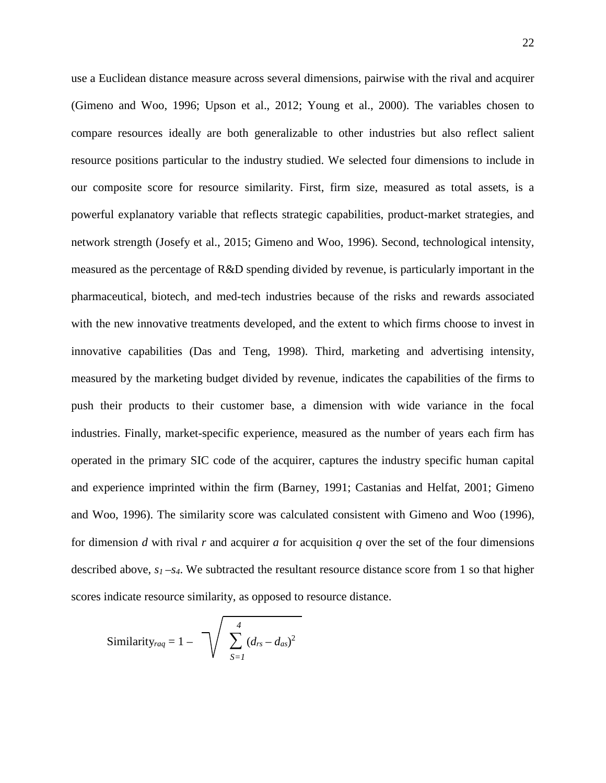use a Euclidean distance measure across several dimensions, pairwise with the rival and acquirer (Gimeno and Woo, 1996; Upson et al., 2012; Young et al., 2000). The variables chosen to compare resources ideally are both generalizable to other industries but also reflect salient resource positions particular to the industry studied. We selected four dimensions to include in our composite score for resource similarity. First, firm size, measured as total assets, is a powerful explanatory variable that reflects strategic capabilities, product-market strategies, and network strength (Josefy et al., 2015; Gimeno and Woo, 1996). Second, technological intensity, measured as the percentage of R&D spending divided by revenue, is particularly important in the pharmaceutical, biotech, and med-tech industries because of the risks and rewards associated with the new innovative treatments developed, and the extent to which firms choose to invest in innovative capabilities (Das and Teng, 1998). Third, marketing and advertising intensity, measured by the marketing budget divided by revenue, indicates the capabilities of the firms to push their products to their customer base, a dimension with wide variance in the focal industries. Finally, market-specific experience, measured as the number of years each firm has operated in the primary SIC code of the acquirer, captures the industry specific human capital and experience imprinted within the firm (Barney, 1991; Castanias and Helfat, 2001; Gimeno and Woo, 1996). The similarity score was calculated consistent with Gimeno and Woo (1996), for dimension *d* with rival *r* and acquirer *a* for acquisition *q* over the set of the four dimensions described above, *s1 –s4*. We subtracted the resultant resource distance score from 1 so that higher scores indicate resource similarity, as opposed to resource distance.

Similarly<sub>*raq*</sub> = 1 - 
$$
\sqrt{\sum_{S=1}^{4} (d_{rs} - d_{as})^2}
$$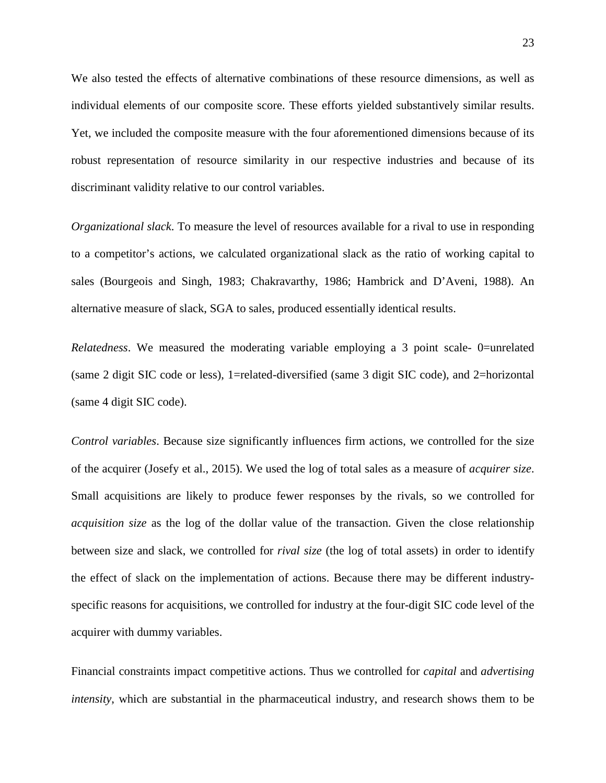We also tested the effects of alternative combinations of these resource dimensions, as well as individual elements of our composite score. These efforts yielded substantively similar results. Yet, we included the composite measure with the four aforementioned dimensions because of its robust representation of resource similarity in our respective industries and because of its discriminant validity relative to our control variables.

*Organizational slack*. To measure the level of resources available for a rival to use in responding to a competitor's actions, we calculated organizational slack as the ratio of working capital to sales (Bourgeois and Singh, 1983; Chakravarthy, 1986; Hambrick and D'Aveni, 1988). An alternative measure of slack, SGA to sales, produced essentially identical results.

*Relatedness*. We measured the moderating variable employing a 3 point scale- 0=unrelated (same 2 digit SIC code or less), 1=related-diversified (same 3 digit SIC code), and 2=horizontal (same 4 digit SIC code).

*Control variables*. Because size significantly influences firm actions, we controlled for the size of the acquirer (Josefy et al., 2015). We used the log of total sales as a measure of *acquirer size*. Small acquisitions are likely to produce fewer responses by the rivals, so we controlled for *acquisition size* as the log of the dollar value of the transaction. Given the close relationship between size and slack, we controlled for *rival size* (the log of total assets) in order to identify the effect of slack on the implementation of actions. Because there may be different industryspecific reasons for acquisitions, we controlled for industry at the four-digit SIC code level of the acquirer with dummy variables.

Financial constraints impact competitive actions. Thus we controlled for *capital* and *advertising intensity*, which are substantial in the pharmaceutical industry, and research shows them to be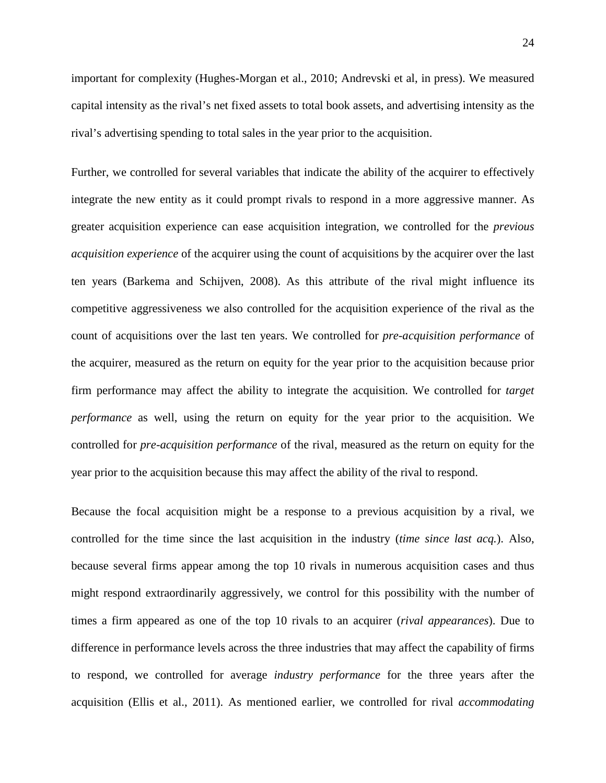important for complexity (Hughes-Morgan et al., 2010; Andrevski et al, in press). We measured capital intensity as the rival's net fixed assets to total book assets, and advertising intensity as the rival's advertising spending to total sales in the year prior to the acquisition.

Further, we controlled for several variables that indicate the ability of the acquirer to effectively integrate the new entity as it could prompt rivals to respond in a more aggressive manner. As greater acquisition experience can ease acquisition integration, we controlled for the *previous acquisition experience* of the acquirer using the count of acquisitions by the acquirer over the last ten years (Barkema and Schijven, 2008). As this attribute of the rival might influence its competitive aggressiveness we also controlled for the acquisition experience of the rival as the count of acquisitions over the last ten years. We controlled for *pre-acquisition performance* of the acquirer, measured as the return on equity for the year prior to the acquisition because prior firm performance may affect the ability to integrate the acquisition. We controlled for *target performance* as well, using the return on equity for the year prior to the acquisition. We controlled for *pre-acquisition performance* of the rival, measured as the return on equity for the year prior to the acquisition because this may affect the ability of the rival to respond.

Because the focal acquisition might be a response to a previous acquisition by a rival, we controlled for the time since the last acquisition in the industry (*time since last acq.*). Also, because several firms appear among the top 10 rivals in numerous acquisition cases and thus might respond extraordinarily aggressively, we control for this possibility with the number of times a firm appeared as one of the top 10 rivals to an acquirer (*rival appearances*). Due to difference in performance levels across the three industries that may affect the capability of firms to respond, we controlled for average *industry performance* for the three years after the acquisition (Ellis et al., 2011). As mentioned earlier, we controlled for rival *accommodating*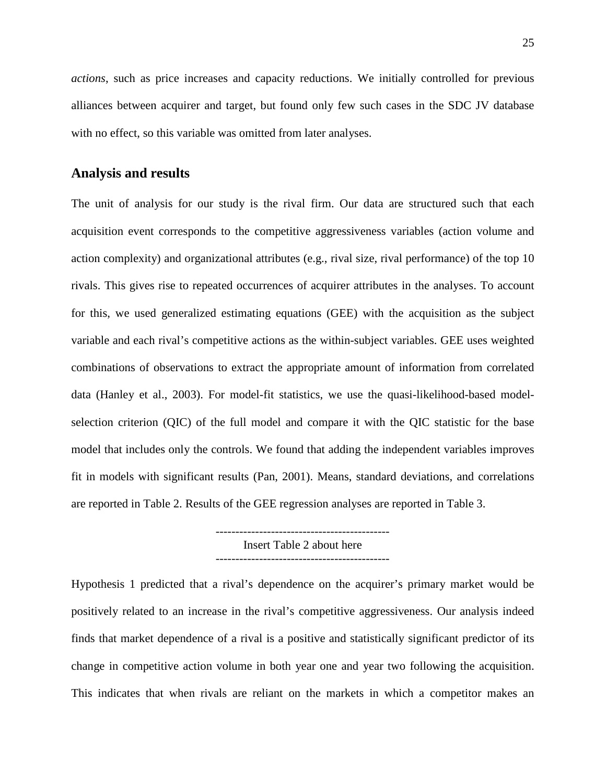*actions*, such as price increases and capacity reductions. We initially controlled for previous alliances between acquirer and target, but found only few such cases in the SDC JV database with no effect, so this variable was omitted from later analyses.

#### **Analysis and results**

The unit of analysis for our study is the rival firm. Our data are structured such that each acquisition event corresponds to the competitive aggressiveness variables (action volume and action complexity) and organizational attributes (e.g., rival size, rival performance) of the top 10 rivals. This gives rise to repeated occurrences of acquirer attributes in the analyses. To account for this, we used generalized estimating equations (GEE) with the acquisition as the subject variable and each rival's competitive actions as the within-subject variables. GEE uses weighted combinations of observations to extract the appropriate amount of information from correlated data (Hanley et al., 2003). For model-fit statistics, we use the quasi-likelihood-based modelselection criterion (QIC) of the full model and compare it with the QIC statistic for the base model that includes only the controls. We found that adding the independent variables improves fit in models with significant results (Pan, 2001). Means, standard deviations, and correlations are reported in Table 2. Results of the GEE regression analyses are reported in Table 3.

Insert Table 2 about here

Hypothesis 1 predicted that a rival's dependence on the acquirer's primary market would be positively related to an increase in the rival's competitive aggressiveness. Our analysis indeed finds that market dependence of a rival is a positive and statistically significant predictor of its change in competitive action volume in both year one and year two following the acquisition. This indicates that when rivals are reliant on the markets in which a competitor makes an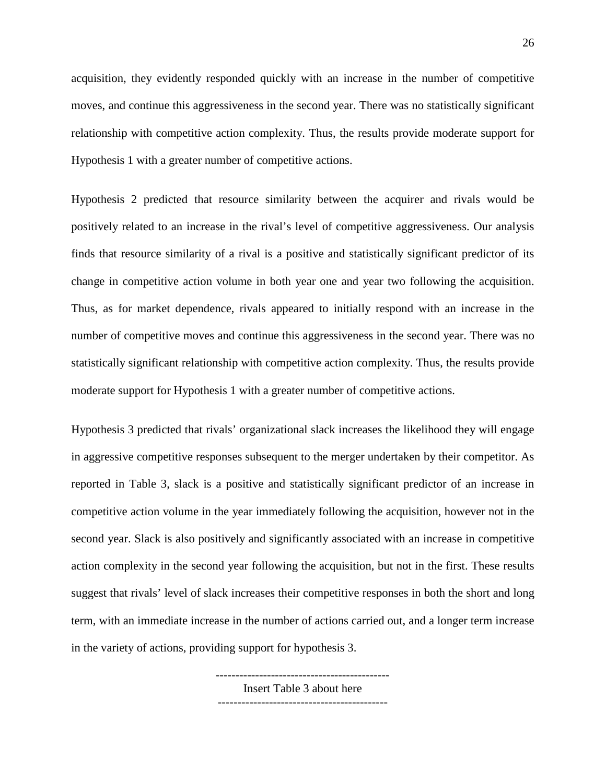acquisition, they evidently responded quickly with an increase in the number of competitive moves, and continue this aggressiveness in the second year. There was no statistically significant relationship with competitive action complexity. Thus, the results provide moderate support for Hypothesis 1 with a greater number of competitive actions.

Hypothesis 2 predicted that resource similarity between the acquirer and rivals would be positively related to an increase in the rival's level of competitive aggressiveness. Our analysis finds that resource similarity of a rival is a positive and statistically significant predictor of its change in competitive action volume in both year one and year two following the acquisition. Thus, as for market dependence, rivals appeared to initially respond with an increase in the number of competitive moves and continue this aggressiveness in the second year. There was no statistically significant relationship with competitive action complexity. Thus, the results provide moderate support for Hypothesis 1 with a greater number of competitive actions.

Hypothesis 3 predicted that rivals' organizational slack increases the likelihood they will engage in aggressive competitive responses subsequent to the merger undertaken by their competitor. As reported in Table 3, slack is a positive and statistically significant predictor of an increase in competitive action volume in the year immediately following the acquisition, however not in the second year. Slack is also positively and significantly associated with an increase in competitive action complexity in the second year following the acquisition, but not in the first. These results suggest that rivals' level of slack increases their competitive responses in both the short and long term, with an immediate increase in the number of actions carried out, and a longer term increase in the variety of actions, providing support for hypothesis 3.

> -------------------------------------------- Insert Table 3 about here -------------------------------------------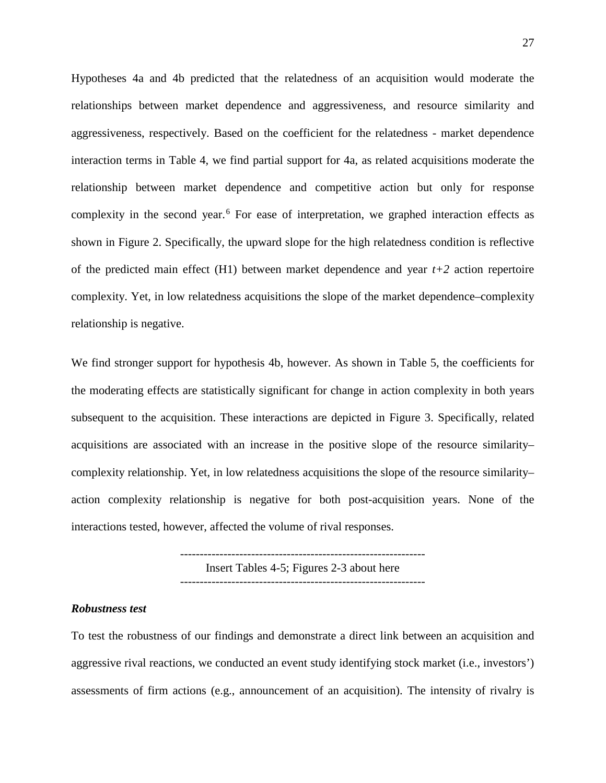Hypotheses 4a and 4b predicted that the relatedness of an acquisition would moderate the relationships between market dependence and aggressiveness, and resource similarity and aggressiveness, respectively. Based on the coefficient for the relatedness - market dependence interaction terms in Table 4, we find partial support for 4a, as related acquisitions moderate the relationship between market dependence and competitive action but only for response complexity in the second year.<sup>[6](#page-35-5)</sup> For ease of interpretation, we graphed interaction effects as shown in Figure 2. Specifically, the upward slope for the high relatedness condition is reflective of the predicted main effect  $(H1)$  between market dependence and year  $t+2$  action repertoire complexity. Yet, in low relatedness acquisitions the slope of the market dependence–complexity relationship is negative.

We find stronger support for hypothesis 4b, however. As shown in Table 5, the coefficients for the moderating effects are statistically significant for change in action complexity in both years subsequent to the acquisition. These interactions are depicted in Figure 3. Specifically, related acquisitions are associated with an increase in the positive slope of the resource similarity– complexity relationship. Yet, in low relatedness acquisitions the slope of the resource similarity– action complexity relationship is negative for both post-acquisition years. None of the interactions tested, however, affected the volume of rival responses.

> -------------------------------------------------------------- Insert Tables 4-5; Figures 2-3 about here --------------------------------------------------------------

#### *Robustness test*

To test the robustness of our findings and demonstrate a direct link between an acquisition and aggressive rival reactions, we conducted an event study identifying stock market (i.e., investors') assessments of firm actions (e.g., announcement of an acquisition). The intensity of rivalry is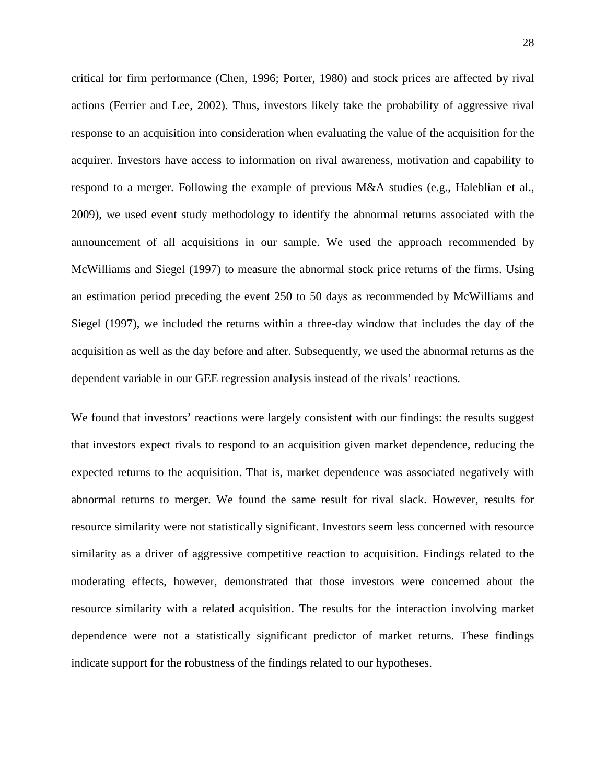critical for firm performance (Chen, 1996; Porter, 1980) and stock prices are affected by rival actions (Ferrier and Lee, 2002). Thus, investors likely take the probability of aggressive rival response to an acquisition into consideration when evaluating the value of the acquisition for the acquirer. Investors have access to information on rival awareness, motivation and capability to respond to a merger. Following the example of previous M&A studies (e.g., Haleblian et al., 2009), we used event study methodology to identify the abnormal returns associated with the announcement of all acquisitions in our sample. We used the approach recommended by McWilliams and Siegel (1997) to measure the abnormal stock price returns of the firms. Using an estimation period preceding the event 250 to 50 days as recommended by McWilliams and Siegel (1997), we included the returns within a three-day window that includes the day of the acquisition as well as the day before and after. Subsequently, we used the abnormal returns as the dependent variable in our GEE regression analysis instead of the rivals' reactions.

We found that investors' reactions were largely consistent with our findings: the results suggest that investors expect rivals to respond to an acquisition given market dependence, reducing the expected returns to the acquisition. That is, market dependence was associated negatively with abnormal returns to merger. We found the same result for rival slack. However, results for resource similarity were not statistically significant. Investors seem less concerned with resource similarity as a driver of aggressive competitive reaction to acquisition. Findings related to the moderating effects, however, demonstrated that those investors were concerned about the resource similarity with a related acquisition. The results for the interaction involving market dependence were not a statistically significant predictor of market returns. These findings indicate support for the robustness of the findings related to our hypotheses.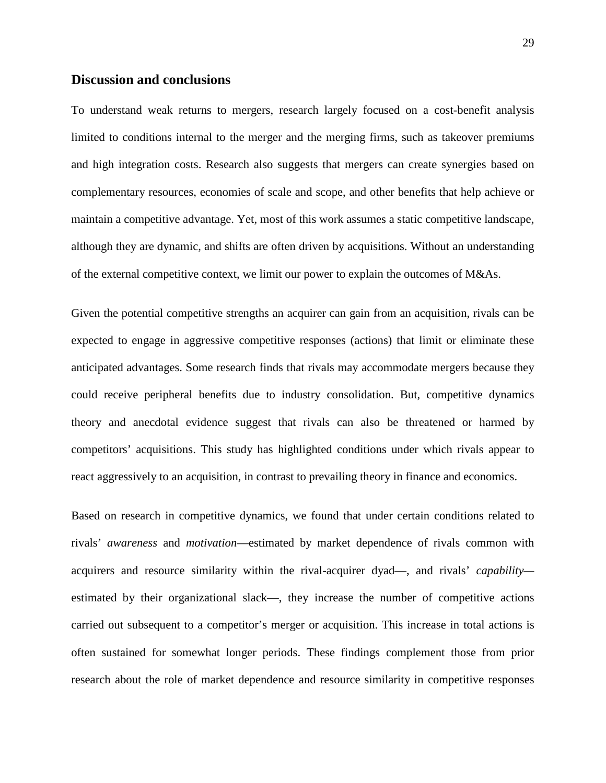#### **Discussion and conclusions**

To understand weak returns to mergers, research largely focused on a cost-benefit analysis limited to conditions internal to the merger and the merging firms, such as takeover premiums and high integration costs. Research also suggests that mergers can create synergies based on complementary resources, economies of scale and scope, and other benefits that help achieve or maintain a competitive advantage. Yet, most of this work assumes a static competitive landscape, although they are dynamic, and shifts are often driven by acquisitions. Without an understanding of the external competitive context, we limit our power to explain the outcomes of M&As.

Given the potential competitive strengths an acquirer can gain from an acquisition, rivals can be expected to engage in aggressive competitive responses (actions) that limit or eliminate these anticipated advantages. Some research finds that rivals may accommodate mergers because they could receive peripheral benefits due to industry consolidation. But, competitive dynamics theory and anecdotal evidence suggest that rivals can also be threatened or harmed by competitors' acquisitions. This study has highlighted conditions under which rivals appear to react aggressively to an acquisition, in contrast to prevailing theory in finance and economics.

Based on research in competitive dynamics, we found that under certain conditions related to rivals' *awareness* and *motivation*—estimated by market dependence of rivals common with acquirers and resource similarity within the rival-acquirer dyad—, and rivals' *capability* estimated by their organizational slack—, they increase the number of competitive actions carried out subsequent to a competitor's merger or acquisition. This increase in total actions is often sustained for somewhat longer periods. These findings complement those from prior research about the role of market dependence and resource similarity in competitive responses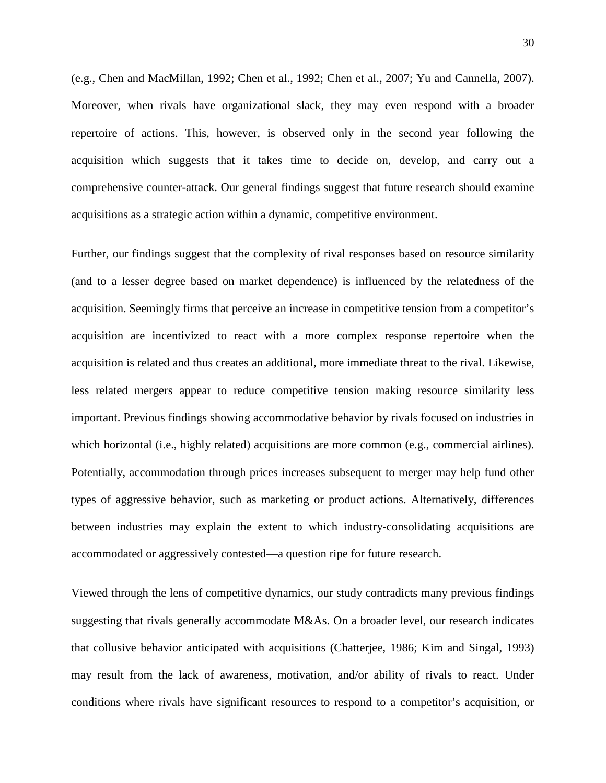(e.g., Chen and MacMillan, 1992; Chen et al., 1992; Chen et al., 2007; Yu and Cannella, 2007). Moreover, when rivals have organizational slack, they may even respond with a broader repertoire of actions. This, however, is observed only in the second year following the acquisition which suggests that it takes time to decide on, develop, and carry out a comprehensive counter-attack. Our general findings suggest that future research should examine acquisitions as a strategic action within a dynamic, competitive environment.

Further, our findings suggest that the complexity of rival responses based on resource similarity (and to a lesser degree based on market dependence) is influenced by the relatedness of the acquisition. Seemingly firms that perceive an increase in competitive tension from a competitor's acquisition are incentivized to react with a more complex response repertoire when the acquisition is related and thus creates an additional, more immediate threat to the rival. Likewise, less related mergers appear to reduce competitive tension making resource similarity less important. Previous findings showing accommodative behavior by rivals focused on industries in which horizontal (i.e., highly related) acquisitions are more common (e.g., commercial airlines). Potentially, accommodation through prices increases subsequent to merger may help fund other types of aggressive behavior, such as marketing or product actions. Alternatively, differences between industries may explain the extent to which industry-consolidating acquisitions are accommodated or aggressively contested—a question ripe for future research.

Viewed through the lens of competitive dynamics, our study contradicts many previous findings suggesting that rivals generally accommodate M&As. On a broader level, our research indicates that collusive behavior anticipated with acquisitions (Chatterjee, 1986; Kim and Singal, 1993) may result from the lack of awareness, motivation, and/or ability of rivals to react. Under conditions where rivals have significant resources to respond to a competitor's acquisition, or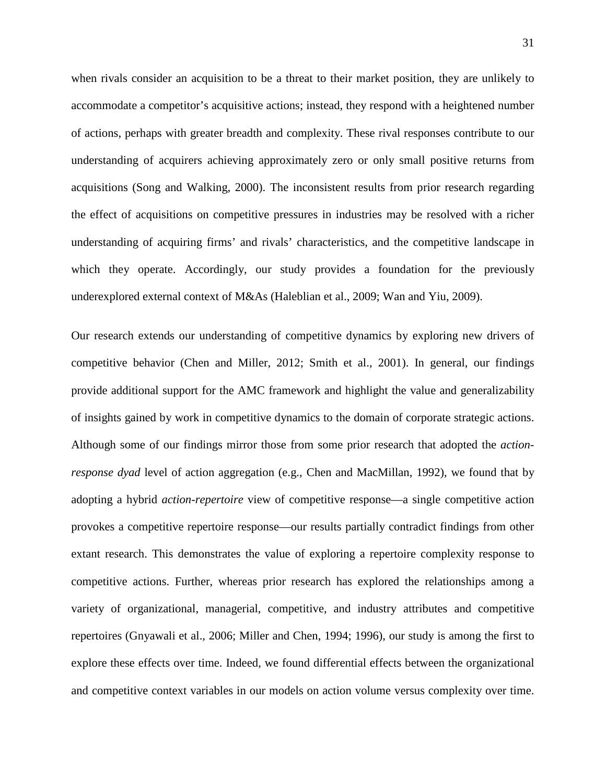when rivals consider an acquisition to be a threat to their market position, they are unlikely to accommodate a competitor's acquisitive actions; instead, they respond with a heightened number of actions, perhaps with greater breadth and complexity. These rival responses contribute to our understanding of acquirers achieving approximately zero or only small positive returns from acquisitions (Song and Walking, 2000). The inconsistent results from prior research regarding the effect of acquisitions on competitive pressures in industries may be resolved with a richer understanding of acquiring firms' and rivals' characteristics, and the competitive landscape in which they operate. Accordingly, our study provides a foundation for the previously underexplored external context of M&As (Haleblian et al., 2009; Wan and Yiu, 2009).

Our research extends our understanding of competitive dynamics by exploring new drivers of competitive behavior (Chen and Miller, 2012; Smith et al., 2001). In general, our findings provide additional support for the AMC framework and highlight the value and generalizability of insights gained by work in competitive dynamics to the domain of corporate strategic actions. Although some of our findings mirror those from some prior research that adopted the *actionresponse dyad* level of action aggregation (e.g., Chen and MacMillan, 1992), we found that by adopting a hybrid *action-repertoire* view of competitive response—a single competitive action provokes a competitive repertoire response—our results partially contradict findings from other extant research. This demonstrates the value of exploring a repertoire complexity response to competitive actions. Further, whereas prior research has explored the relationships among a variety of organizational, managerial, competitive, and industry attributes and competitive repertoires (Gnyawali et al., 2006; Miller and Chen, 1994; 1996), our study is among the first to explore these effects over time. Indeed, we found differential effects between the organizational and competitive context variables in our models on action volume versus complexity over time.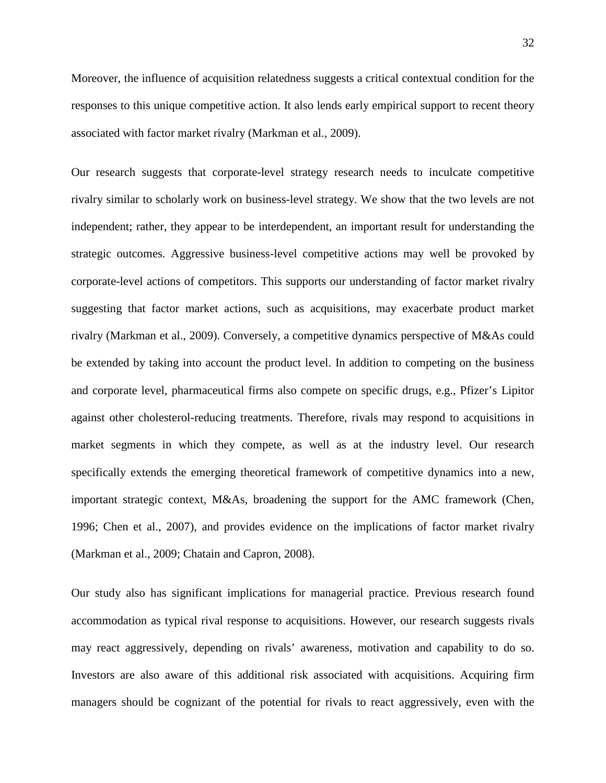Moreover, the influence of acquisition relatedness suggests a critical contextual condition for the responses to this unique competitive action. It also lends early empirical support to recent theory associated with factor market rivalry (Markman et al., 2009).

Our research suggests that corporate-level strategy research needs to inculcate competitive rivalry similar to scholarly work on business-level strategy. We show that the two levels are not independent; rather, they appear to be interdependent, an important result for understanding the strategic outcomes. Aggressive business-level competitive actions may well be provoked by corporate-level actions of competitors. This supports our understanding of factor market rivalry suggesting that factor market actions, such as acquisitions, may exacerbate product market rivalry (Markman et al., 2009). Conversely, a competitive dynamics perspective of M&As could be extended by taking into account the product level. In addition to competing on the business and corporate level, pharmaceutical firms also compete on specific drugs, e.g., Pfizer's Lipitor against other cholesterol-reducing treatments. Therefore, rivals may respond to acquisitions in market segments in which they compete, as well as at the industry level. Our research specifically extends the emerging theoretical framework of competitive dynamics into a new, important strategic context, M&As, broadening the support for the AMC framework (Chen, 1996; Chen et al., 2007), and provides evidence on the implications of factor market rivalry (Markman et al., 2009; Chatain and Capron, 2008).

Our study also has significant implications for managerial practice. Previous research found accommodation as typical rival response to acquisitions. However, our research suggests rivals may react aggressively, depending on rivals' awareness, motivation and capability to do so. Investors are also aware of this additional risk associated with acquisitions. Acquiring firm managers should be cognizant of the potential for rivals to react aggressively, even with the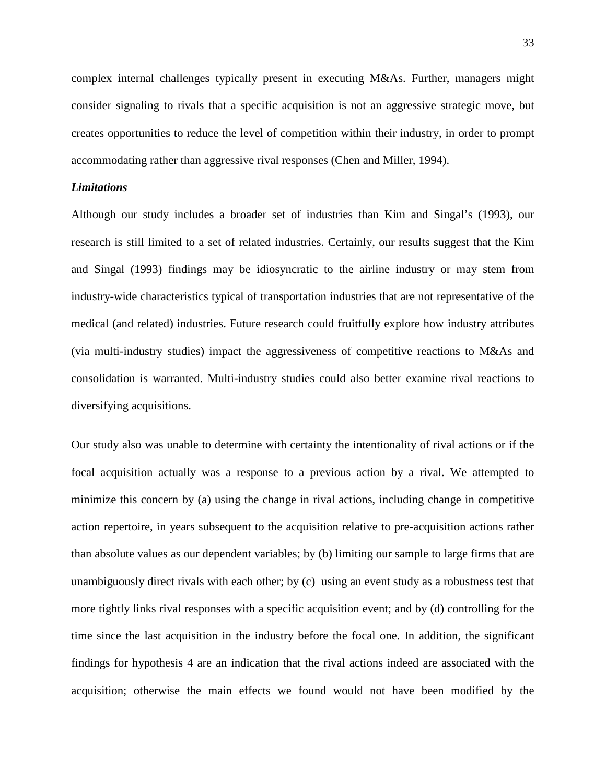complex internal challenges typically present in executing M&As. Further, managers might consider signaling to rivals that a specific acquisition is not an aggressive strategic move, but creates opportunities to reduce the level of competition within their industry, in order to prompt accommodating rather than aggressive rival responses (Chen and Miller, 1994).

#### *Limitations*

Although our study includes a broader set of industries than Kim and Singal's (1993), our research is still limited to a set of related industries. Certainly, our results suggest that the Kim and Singal (1993) findings may be idiosyncratic to the airline industry or may stem from industry-wide characteristics typical of transportation industries that are not representative of the medical (and related) industries. Future research could fruitfully explore how industry attributes (via multi-industry studies) impact the aggressiveness of competitive reactions to M&As and consolidation is warranted. Multi-industry studies could also better examine rival reactions to diversifying acquisitions.

Our study also was unable to determine with certainty the intentionality of rival actions or if the focal acquisition actually was a response to a previous action by a rival. We attempted to minimize this concern by (a) using the change in rival actions, including change in competitive action repertoire, in years subsequent to the acquisition relative to pre-acquisition actions rather than absolute values as our dependent variables; by (b) limiting our sample to large firms that are unambiguously direct rivals with each other; by (c) using an event study as a robustness test that more tightly links rival responses with a specific acquisition event; and by (d) controlling for the time since the last acquisition in the industry before the focal one. In addition, the significant findings for hypothesis 4 are an indication that the rival actions indeed are associated with the acquisition; otherwise the main effects we found would not have been modified by the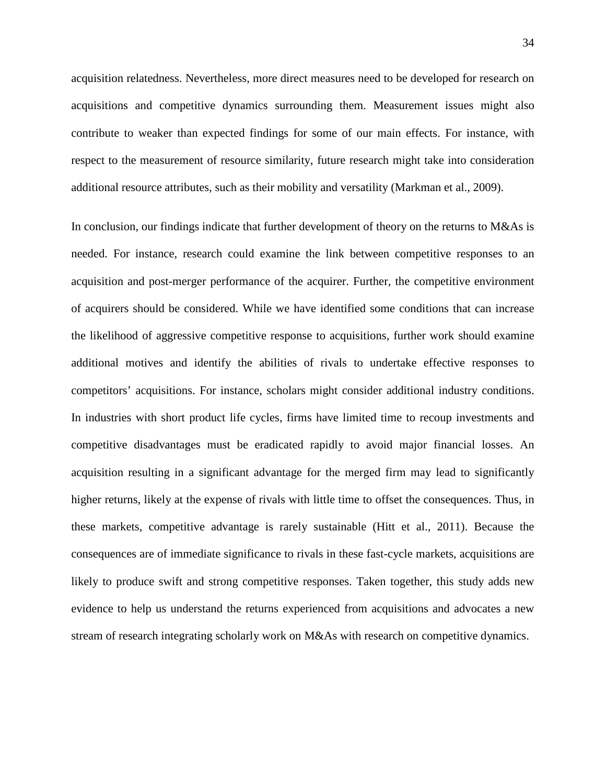acquisition relatedness. Nevertheless, more direct measures need to be developed for research on acquisitions and competitive dynamics surrounding them. Measurement issues might also contribute to weaker than expected findings for some of our main effects. For instance, with respect to the measurement of resource similarity, future research might take into consideration additional resource attributes, such as their mobility and versatility (Markman et al., 2009).

In conclusion, our findings indicate that further development of theory on the returns to M&As is needed. For instance, research could examine the link between competitive responses to an acquisition and post-merger performance of the acquirer. Further, the competitive environment of acquirers should be considered. While we have identified some conditions that can increase the likelihood of aggressive competitive response to acquisitions, further work should examine additional motives and identify the abilities of rivals to undertake effective responses to competitors' acquisitions. For instance, scholars might consider additional industry conditions. In industries with short product life cycles, firms have limited time to recoup investments and competitive disadvantages must be eradicated rapidly to avoid major financial losses. An acquisition resulting in a significant advantage for the merged firm may lead to significantly higher returns, likely at the expense of rivals with little time to offset the consequences. Thus, in these markets, competitive advantage is rarely sustainable (Hitt et al., 2011). Because the consequences are of immediate significance to rivals in these fast-cycle markets, acquisitions are likely to produce swift and strong competitive responses. Taken together, this study adds new evidence to help us understand the returns experienced from acquisitions and advocates a new stream of research integrating scholarly work on M&As with research on competitive dynamics.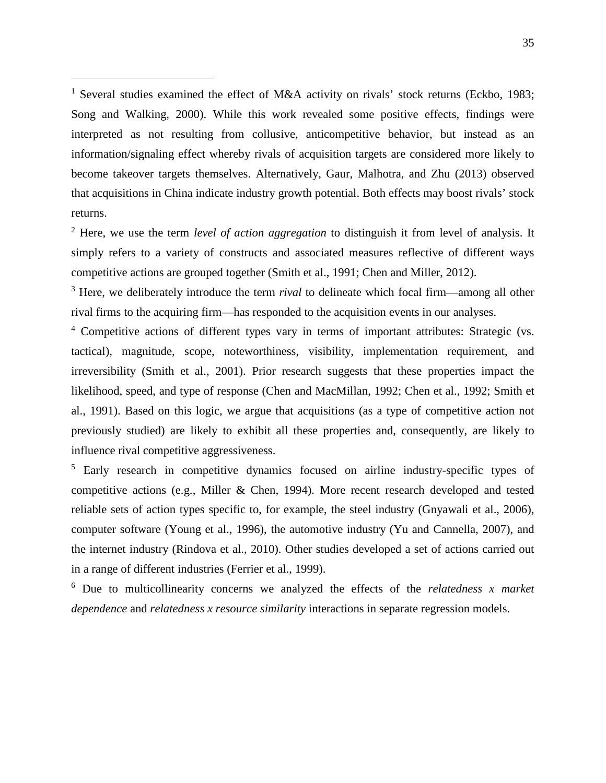<span id="page-35-0"></span><sup>1</sup> Several studies examined the effect of M&A activity on rivals' stock returns (Eckbo, 1983; Song and Walking, 2000). While this work revealed some positive effects, findings were interpreted as not resulting from collusive, anticompetitive behavior, but instead as an information/signaling effect whereby rivals of acquisition targets are considered more likely to become takeover targets themselves. Alternatively, Gaur, Malhotra, and Zhu (2013) observed that acquisitions in China indicate industry growth potential. Both effects may boost rivals' stock returns.

-

<span id="page-35-1"></span><sup>2</sup> Here, we use the term *level of action aggregation* to distinguish it from level of analysis. It simply refers to a variety of constructs and associated measures reflective of different ways competitive actions are grouped together (Smith et al., 1991; Chen and Miller, 2012).

<span id="page-35-2"></span><sup>3</sup> Here, we deliberately introduce the term *rival* to delineate which focal firm—among all other rival firms to the acquiring firm—has responded to the acquisition events in our analyses.

<span id="page-35-3"></span><sup>4</sup> Competitive actions of different types vary in terms of important attributes: Strategic (vs. tactical), magnitude, scope, noteworthiness, visibility, implementation requirement, and irreversibility (Smith et al., 2001). Prior research suggests that these properties impact the likelihood, speed, and type of response (Chen and MacMillan, 1992; Chen et al., 1992; Smith et al., 1991). Based on this logic, we argue that acquisitions (as a type of competitive action not previously studied) are likely to exhibit all these properties and, consequently, are likely to influence rival competitive aggressiveness.

<span id="page-35-4"></span><sup>5</sup> Early research in competitive dynamics focused on airline industry-specific types of competitive actions (e.g., Miller & Chen, 1994). More recent research developed and tested reliable sets of action types specific to, for example, the steel industry (Gnyawali et al., 2006), computer software (Young et al., 1996), the automotive industry (Yu and Cannella, 2007), and the internet industry (Rindova et al., 2010). Other studies developed a set of actions carried out in a range of different industries (Ferrier et al., 1999).

<span id="page-35-5"></span><sup>6</sup> Due to multicollinearity concerns we analyzed the effects of the *relatedness x market dependence* and *relatedness x resource similarity* interactions in separate regression models.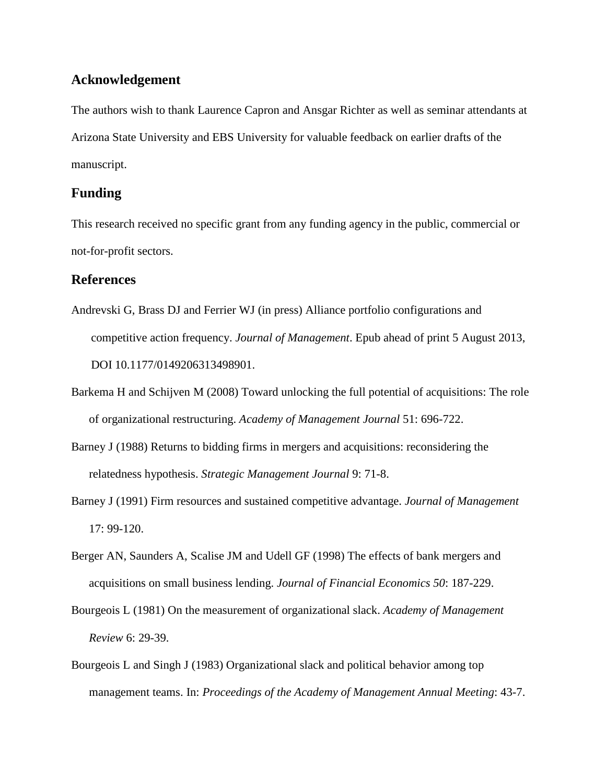## **Acknowledgement**

The authors wish to thank Laurence Capron and Ansgar Richter as well as seminar attendants at Arizona State University and EBS University for valuable feedback on earlier drafts of the manuscript.

## **Funding**

This research received no specific grant from any funding agency in the public, commercial or not-for-profit sectors.

## **References**

- Andrevski G, Brass DJ and Ferrier WJ (in press) Alliance portfolio configurations and competitive action frequency. *Journal of Management*. Epub ahead of print 5 August 2013, DOI 10.1177/0149206313498901.
- Barkema H and Schijven M (2008) Toward unlocking the full potential of acquisitions: The role of organizational restructuring. *Academy of Management Journal* 51: 696-722.
- Barney J (1988) Returns to bidding firms in mergers and acquisitions: reconsidering the relatedness hypothesis. *Strategic Management Journal* 9: 71-8.
- Barney J (1991) Firm resources and sustained competitive advantage. *Journal of Management* 17: 99-120.
- Berger AN, Saunders A, Scalise JM and Udell GF (1998) The effects of bank mergers and acquisitions on small business lending. *Journal of Financial Economics 50*: 187-229.
- Bourgeois L (1981) On the measurement of organizational slack. *Academy of Management Review* 6: 29-39.
- Bourgeois L and Singh J (1983) Organizational slack and political behavior among top management teams. In: *Proceedings of the Academy of Management Annual Meeting*: 43-7.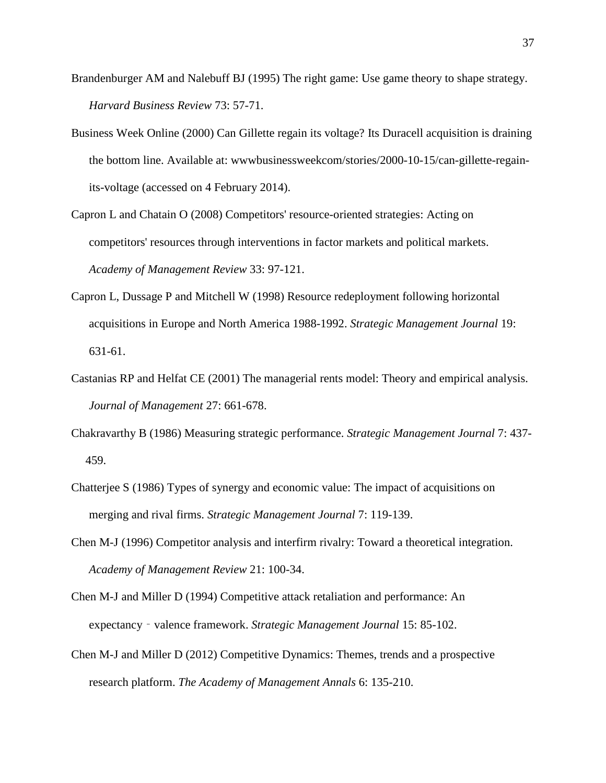- Brandenburger AM and Nalebuff BJ (1995) The right game: Use game theory to shape strategy. *Harvard Business Review* 73: 57-71.
- Business Week Online (2000) Can Gillette regain its voltage? Its Duracell acquisition is draining the bottom line. Available at: wwwbusinessweekcom/stories/2000-10-15/can-gillette-regainits-voltage (accessed on 4 February 2014).
- Capron L and Chatain O (2008) Competitors' resource-oriented strategies: Acting on competitors' resources through interventions in factor markets and political markets. *Academy of Management Review* 33: 97-121.
- Capron L, Dussage P and Mitchell W (1998) Resource redeployment following horizontal acquisitions in Europe and North America 1988-1992. *Strategic Management Journal* 19: 631-61.
- Castanias RP and Helfat CE (2001) The managerial rents model: Theory and empirical analysis. *Journal of Management* 27: 661-678.
- Chakravarthy B (1986) Measuring strategic performance. *Strategic Management Journal* 7: 437- 459.
- Chatterjee S (1986) Types of synergy and economic value: The impact of acquisitions on merging and rival firms. *Strategic Management Journal* 7: 119-139.
- Chen M-J (1996) Competitor analysis and interfirm rivalry: Toward a theoretical integration. *Academy of Management Review* 21: 100-34.
- Chen M-J and Miller D (1994) Competitive attack retaliation and performance: An expectancy - valence framework. *Strategic Management Journal* 15: 85-102.
- Chen M-J and Miller D (2012) Competitive Dynamics: Themes, trends and a prospective research platform. *The Academy of Management Annals* 6: 135-210.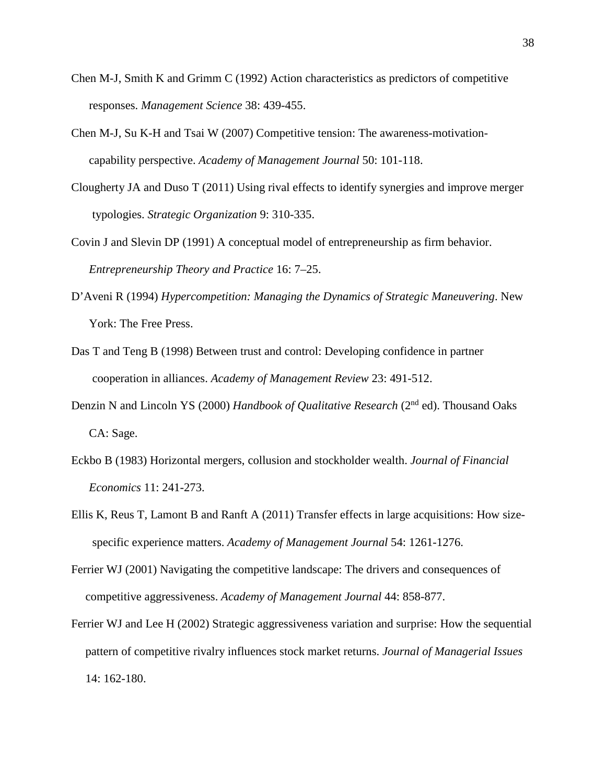- Chen M-J, Smith K and Grimm C (1992) Action characteristics as predictors of competitive responses. *Management Science* 38: 439-455.
- Chen M-J, Su K-H and Tsai W (2007) Competitive tension: The awareness-motivationcapability perspective. *Academy of Management Journal* 50: 101-118.
- Clougherty JA and Duso T (2011) Using rival effects to identify synergies and improve merger typologies. *Strategic Organization* 9: 310-335.
- Covin J and Slevin DP (1991) A conceptual model of entrepreneurship as firm behavior. *Entrepreneurship Theory and Practice* 16: 7–25.
- D'Aveni R (1994) *Hypercompetition: Managing the Dynamics of Strategic Maneuvering*. New York: The Free Press.
- Das T and Teng B (1998) Between trust and control: Developing confidence in partner cooperation in alliances. *Academy of Management Review* 23: 491-512.
- Denzin N and Lincoln YS (2000) *Handbook of Qualitative Research* (2nd ed). Thousand Oaks CA: Sage.
- Eckbo B (1983) Horizontal mergers, collusion and stockholder wealth. *Journal of Financial Economics* 11: 241-273.
- Ellis K, Reus T, Lamont B and Ranft A (2011) Transfer effects in large acquisitions: How sizespecific experience matters. *Academy of Management Journal* 54: 1261-1276.
- Ferrier WJ (2001) Navigating the competitive landscape: The drivers and consequences of competitive aggressiveness. *Academy of Management Journal* 44: 858-877.
- Ferrier WJ and Lee H (2002) Strategic aggressiveness variation and surprise: How the sequential pattern of competitive rivalry influences stock market returns. *Journal of Managerial Issues* 14: 162-180.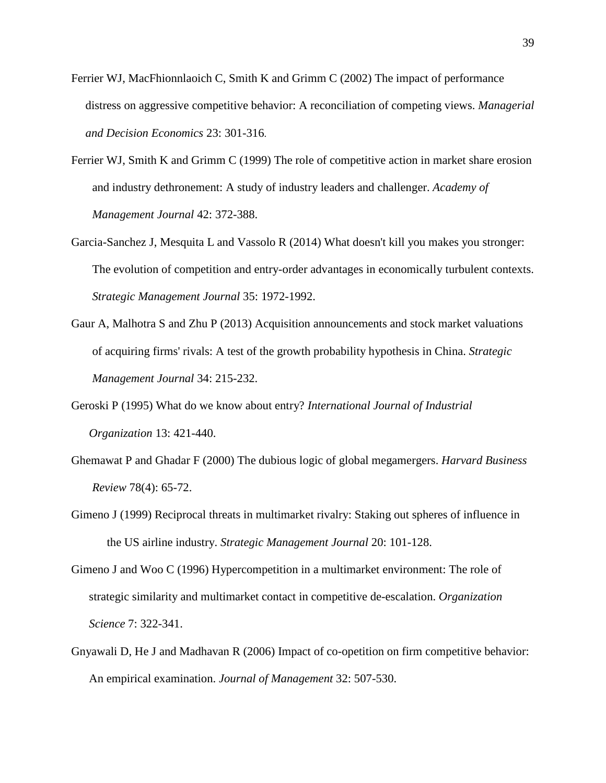- Ferrier WJ, MacFhionnlaoich C, Smith K and Grimm C (2002) The impact of performance distress on aggressive competitive behavior: A reconciliation of competing views. *Managerial and Decision Economics* 23: 301-316.
- Ferrier WJ, Smith K and Grimm C (1999) The role of competitive action in market share erosion and industry dethronement: A study of industry leaders and challenger. *Academy of Management Journal* 42: 372-388.
- Garcia-Sanchez J, Mesquita L and Vassolo R (2014) What doesn't kill you makes you stronger: The evolution of competition and entry-order advantages in economically turbulent contexts. *Strategic Management Journal* 35: 1972-1992.
- Gaur A, Malhotra S and Zhu P (2013) Acquisition announcements and stock market valuations of acquiring firms' rivals: A test of the growth probability hypothesis in China. *Strategic Management Journal* 34: 215-232.
- Geroski P (1995) What do we know about entry? *International Journal of Industrial Organization* 13: 421-440.
- Ghemawat P and Ghadar F (2000) The dubious logic of global megamergers. *Harvard Business Review* 78(4): 65-72.
- Gimeno J (1999) Reciprocal threats in multimarket rivalry: Staking out spheres of influence in the US airline industry. *Strategic Management Journal* 20: 101-128.
- Gimeno J and Woo C (1996) Hypercompetition in a multimarket environment: The role of strategic similarity and multimarket contact in competitive de-escalation. *Organization Science* 7: 322-341.
- Gnyawali D, He J and Madhavan R (2006) Impact of co-opetition on firm competitive behavior: An empirical examination. *Journal of Management* 32: 507-530.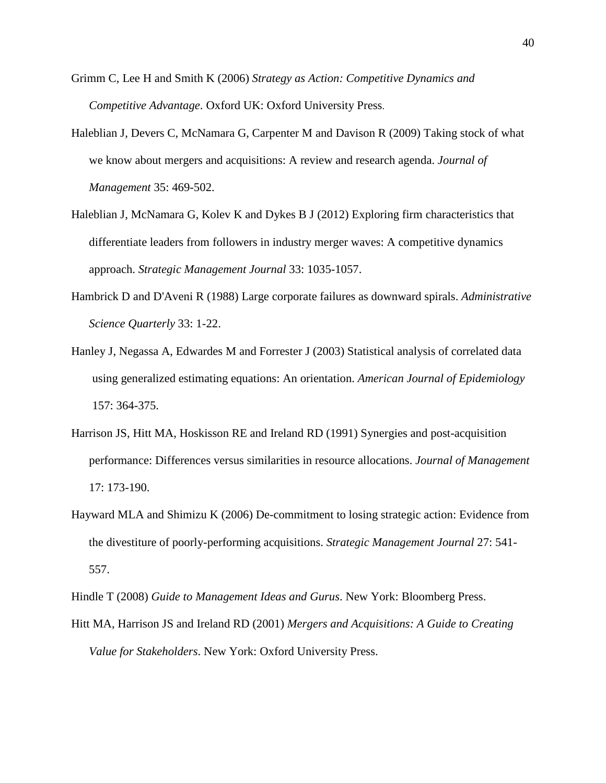- Grimm C, Lee H and Smith K (2006) *Strategy as Action: Competitive Dynamics and Competitive Advantage*. Oxford UK: Oxford University Press.
- Haleblian J, Devers C, McNamara G, Carpenter M and Davison R (2009) Taking stock of what we know about mergers and acquisitions: A review and research agenda. *Journal of Management* 35: 469-502.
- Haleblian J, McNamara G, Kolev K and Dykes B J (2012) Exploring firm characteristics that differentiate leaders from followers in industry merger waves: A competitive dynamics approach. *Strategic Management Journal* 33: 1035-1057.
- Hambrick D and D'Aveni R (1988) Large corporate failures as downward spirals. *Administrative Science Quarterly* 33: 1-22.
- Hanley J, Negassa A, Edwardes M and Forrester J (2003) Statistical analysis of correlated data using generalized estimating equations: An orientation. *American Journal of Epidemiology* 157: 364-375.
- Harrison JS, Hitt MA, Hoskisson RE and Ireland RD (1991) Synergies and post-acquisition performance: Differences versus similarities in resource allocations. *Journal of Management* 17: 173-190.
- Hayward MLA and Shimizu K (2006) De-commitment to losing strategic action: Evidence from the divestiture of poorly-performing acquisitions. *Strategic Management Journal* 27: 541- 557.

Hindle T (2008) *Guide to Management Ideas and Gurus*. New York: Bloomberg Press.

Hitt MA, Harrison JS and Ireland RD (2001) *Mergers and Acquisitions: A Guide to Creating Value for Stakeholders*. New York: Oxford University Press.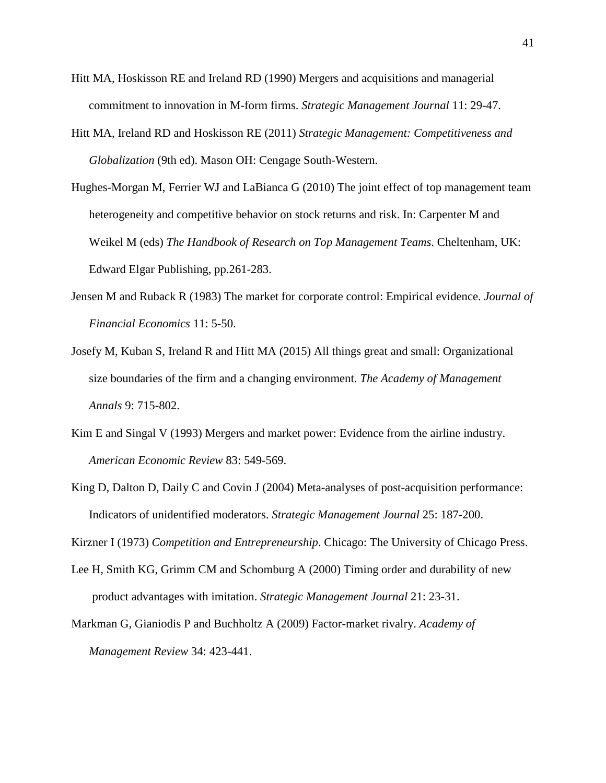- Hitt MA, Hoskisson RE and Ireland RD (1990) Mergers and acquisitions and managerial commitment to innovation in M-form firms. *Strategic Management Journal* 11: 29-47.
- Hitt MA, Ireland RD and Hoskisson RE (2011) *Strategic Management: Competitiveness and Globalization* (9th ed). Mason OH: Cengage South-Western.
- Hughes-Morgan M, Ferrier WJ and LaBianca G (2010) The joint effect of top management team heterogeneity and competitive behavior on stock returns and risk. In: Carpenter M and Weikel M (eds) *The Handbook of Research on Top Management Teams*. Cheltenham, UK: Edward Elgar Publishing, pp.261-283.
- Jensen M and Ruback R (1983) The market for corporate control: Empirical evidence. *Journal of Financial Economics* 11: 5-50.
- Josefy M, Kuban S, Ireland R and Hitt MA (2015) All things great and small: Organizational size boundaries of the firm and a changing environment. *The Academy of Management Annals* 9: 715-802.
- Kim E and Singal V (1993) Mergers and market power: Evidence from the airline industry. *American Economic Review* 83: 549-569.
- King D, Dalton D, Daily C and Covin J (2004) Meta-analyses of post-acquisition performance: Indicators of unidentified moderators. *Strategic Management Journal* 25: 187-200.

Kirzner I (1973) *Competition and Entrepreneurship*. Chicago: The University of Chicago Press.

- Lee H, Smith KG, Grimm CM and Schomburg A (2000) Timing order and durability of new product advantages with imitation. *Strategic Management Journal* 21: 23-31.
- Markman G, Gianiodis P and Buchholtz A (2009) Factor-market rivalry. *Academy of Management Review* 34: 423-441.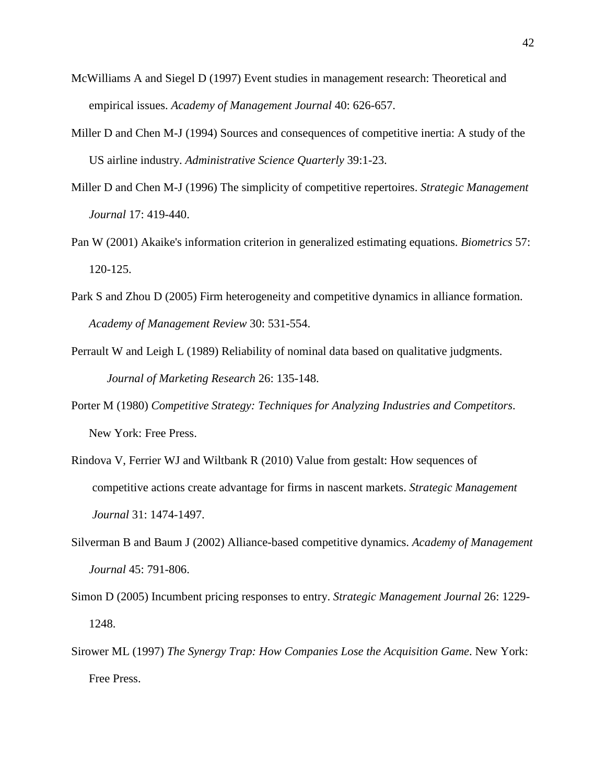- McWilliams A and Siegel D (1997) Event studies in management research: Theoretical and empirical issues. *Academy of Management Journal* 40: 626-657.
- Miller D and Chen M-J (1994) Sources and consequences of competitive inertia: A study of the US airline industry. *Administrative Science Quarterly* 39:1-23.
- Miller D and Chen M-J (1996) The simplicity of competitive repertoires. *Strategic Management Journal* 17: 419-440.
- Pan W (2001) Akaike's information criterion in generalized estimating equations. *Biometrics* 57: 120-125.
- Park S and Zhou D (2005) Firm heterogeneity and competitive dynamics in alliance formation. *Academy of Management Review* 30: 531-554.
- Perrault W and Leigh L (1989) Reliability of nominal data based on qualitative judgments. *Journal of Marketing Research* 26: 135-148.
- Porter M (1980) *Competitive Strategy: Techniques for Analyzing Industries and Competitors*. New York: Free Press.
- Rindova V, Ferrier WJ and Wiltbank R (2010) Value from gestalt: How sequences of competitive actions create advantage for firms in nascent markets. *Strategic Management Journal* 31: 1474-1497.
- Silverman B and Baum J (2002) Alliance-based competitive dynamics. *Academy of Management Journal* 45: 791-806.
- Simon D (2005) Incumbent pricing responses to entry. *Strategic Management Journal* 26: 1229- 1248.
- Sirower ML (1997) *The Synergy Trap: How Companies Lose the Acquisition Game*. New York: Free Press.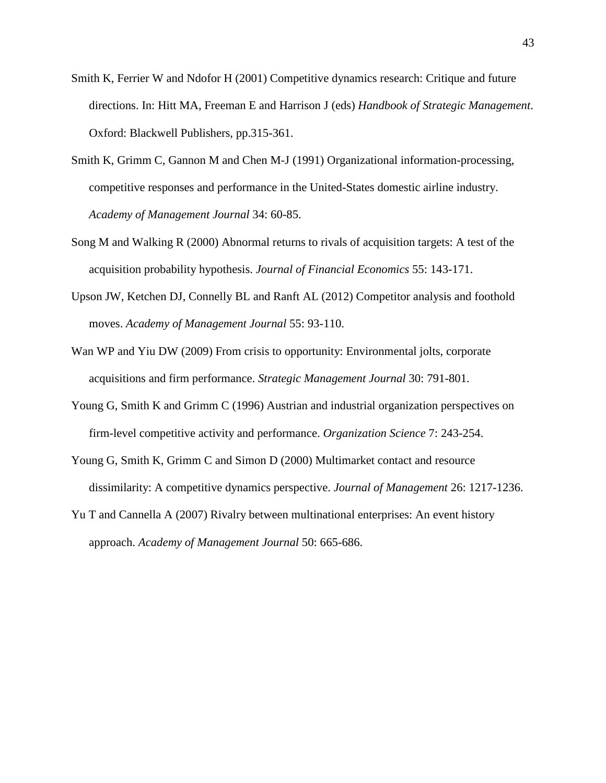- Smith K, Ferrier W and Ndofor H (2001) Competitive dynamics research: Critique and future directions. In: Hitt MA, Freeman E and Harrison J (eds) *Handbook of Strategic Management*. Oxford: Blackwell Publishers, pp.315-361.
- Smith K, Grimm C, Gannon M and Chen M-J (1991) Organizational information-processing, competitive responses and performance in the United-States domestic airline industry. *Academy of Management Journal* 34: 60-85.
- Song M and Walking R (2000) Abnormal returns to rivals of acquisition targets: A test of the acquisition probability hypothesis. *Journal of Financial Economics* 55: 143-171.
- Upson JW, Ketchen DJ, Connelly BL and Ranft AL (2012) Competitor analysis and foothold moves. *Academy of Management Journal* 55: 93-110.
- Wan WP and Yiu DW (2009) From crisis to opportunity: Environmental jolts, corporate acquisitions and firm performance. *Strategic Management Journal* 30: 791-801.
- Young G, Smith K and Grimm C (1996) Austrian and industrial organization perspectives on firm-level competitive activity and performance. *Organization Science* 7: 243-254.
- Young G, Smith K, Grimm C and Simon D (2000) Multimarket contact and resource dissimilarity: A competitive dynamics perspective. *Journal of Management* 26: 1217-1236.
- Yu T and Cannella A (2007) Rivalry between multinational enterprises: An event history approach. *Academy of Management Journal* 50: 665-686.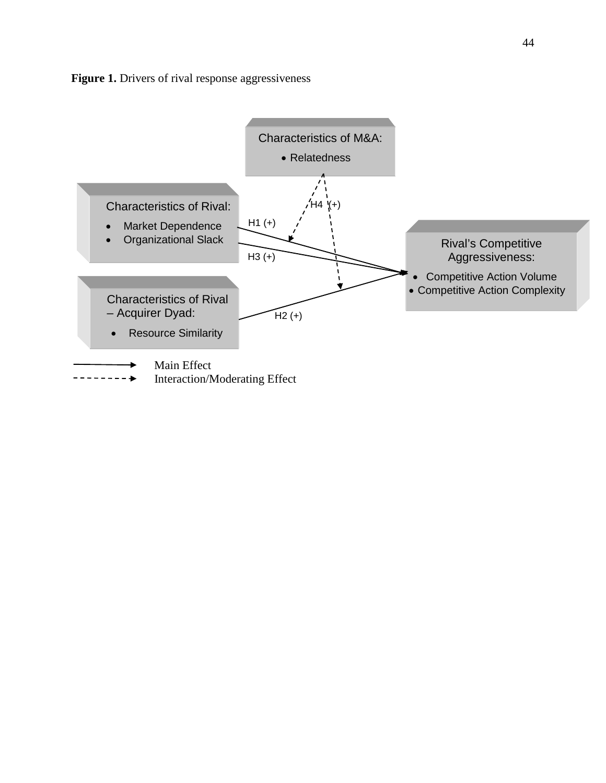

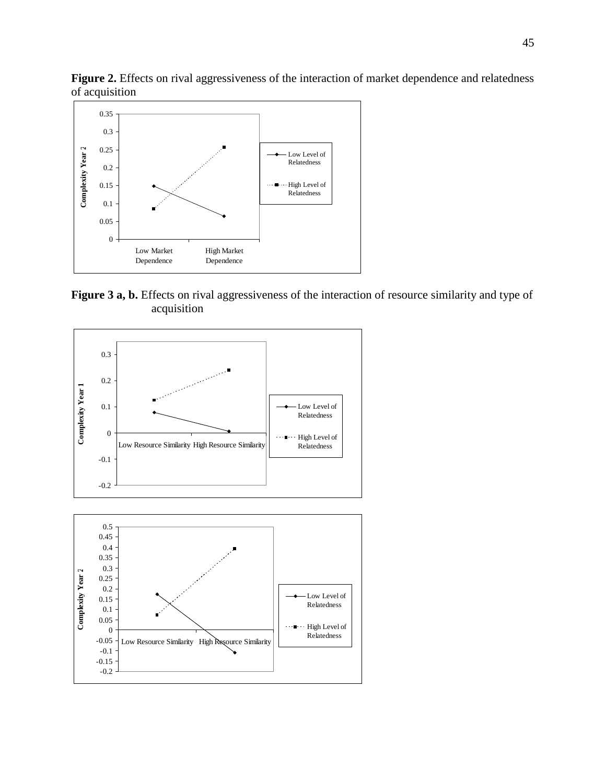

**Figure 3 a, b.** Effects on rival aggressiveness of the interaction of resource similarity and type of acquisition



Figure 2. Effects on rival aggressiveness of the interaction of market dependence and relatedness of acquisition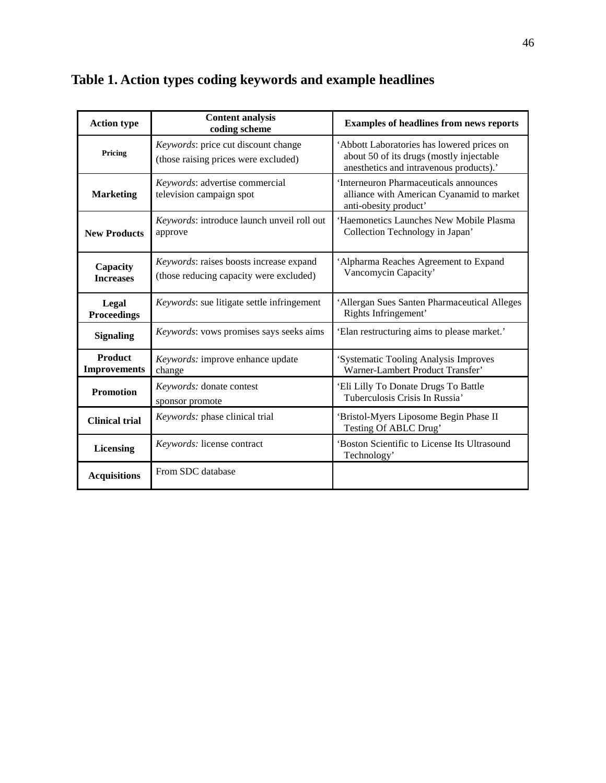| <b>Action type</b>                    | <b>Content analysis</b><br>coding scheme                                           | <b>Examples of headlines from news reports</b>                                                                                    |
|---------------------------------------|------------------------------------------------------------------------------------|-----------------------------------------------------------------------------------------------------------------------------------|
| Pricing                               | Keywords: price cut discount change<br>(those raising prices were excluded)        | 'Abbott Laboratories has lowered prices on<br>about 50 of its drugs (mostly injectable<br>anesthetics and intravenous products).' |
| <b>Marketing</b>                      | Keywords: advertise commercial<br>television campaign spot                         | 'Interneuron Pharmaceuticals announces<br>alliance with American Cyanamid to market<br>anti-obesity product'                      |
| <b>New Products</b>                   | Keywords: introduce launch unveil roll out<br>approve                              | 'Haemonetics Launches New Mobile Plasma<br>Collection Technology in Japan'                                                        |
| Capacity<br><b>Increases</b>          | Keywords: raises boosts increase expand<br>(those reducing capacity were excluded) | 'Alpharma Reaches Agreement to Expand<br>Vancomycin Capacity'                                                                     |
| Legal<br><b>Proceedings</b>           | Keywords: sue litigate settle infringement                                         | 'Allergan Sues Santen Pharmaceutical Alleges<br>Rights Infringement'                                                              |
| <b>Signaling</b>                      | Keywords: vows promises says seeks aims                                            | 'Elan restructuring aims to please market.'                                                                                       |
| <b>Product</b><br><b>Improvements</b> | Keywords: improve enhance update<br>change                                         | 'Systematic Tooling Analysis Improves<br>Warner-Lambert Product Transfer'                                                         |
| <b>Promotion</b>                      | Keywords: donate contest<br>sponsor promote                                        | 'Eli Lilly To Donate Drugs To Battle<br>Tuberculosis Crisis In Russia'                                                            |
| <b>Clinical trial</b>                 | Keywords: phase clinical trial                                                     | 'Bristol-Myers Liposome Begin Phase II<br>Testing Of ABLC Drug'                                                                   |
| <b>Licensing</b>                      | Keywords: license contract                                                         | 'Boston Scientific to License Its Ultrasound<br>Technology'                                                                       |
| <b>Acquisitions</b>                   | From SDC database                                                                  |                                                                                                                                   |

## **Table 1. Action types coding keywords and example headlines**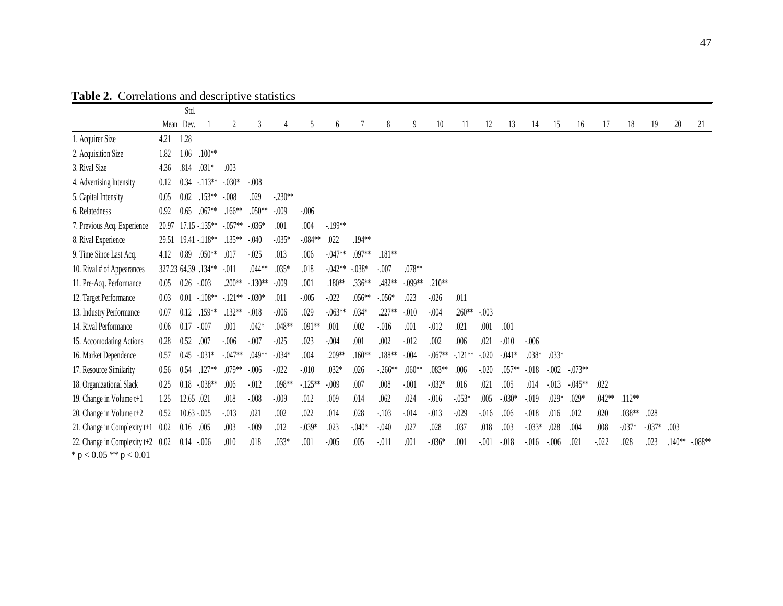|                                     |       | Std.          |                 |           |           |           |           |           |          |          |           |           |          |          |          |           |         |            |        |          |           |          |           |
|-------------------------------------|-------|---------------|-----------------|-----------|-----------|-----------|-----------|-----------|----------|----------|-----------|-----------|----------|----------|----------|-----------|---------|------------|--------|----------|-----------|----------|-----------|
|                                     |       | Mean Dev.     |                 | 2         | 3         |           | 5         | 6         |          | 8        | 9         | 10        | 11       | 12       | 13       | 14        | 15      | 16         | 17     | 18       | 19        | 20       | 21        |
| 1. Acquirer Size                    | 4.21  | 1.28          |                 |           |           |           |           |           |          |          |           |           |          |          |          |           |         |            |        |          |           |          |           |
| 2. Acquisition Size                 | 1.82  | 1.06          | .100**          |           |           |           |           |           |          |          |           |           |          |          |          |           |         |            |        |          |           |          |           |
| 3. Rival Size                       | 4.36  | .814          | $.031*$         | .003      |           |           |           |           |          |          |           |           |          |          |          |           |         |            |        |          |           |          |           |
| 4. Advertising Intensity            | 0.12  | 0.34          | $-.113**$       | $-.030*$  | $-.008$   |           |           |           |          |          |           |           |          |          |          |           |         |            |        |          |           |          |           |
| 5. Capital Intensity                | 0.05  | 0.02          | $.153**$        | $-.008$   | .029      | $-.230**$ |           |           |          |          |           |           |          |          |          |           |         |            |        |          |           |          |           |
| 6. Relatedness                      | 0.92  | 0.65          | $.067**$        | $.166**$  | $.050**$  | $-.009$   | $-.006$   |           |          |          |           |           |          |          |          |           |         |            |        |          |           |          |           |
| 7. Previous Acq. Experience         | 20.97 |               | $17.15 - 135**$ | $-.057**$ | $-0.036*$ | .001      | .004      | $-199**$  |          |          |           |           |          |          |          |           |         |            |        |          |           |          |           |
| 8. Rival Experience                 | 29.51 |               | 19.41 - 118**   | $.135**$  | $-.040$   | $-035*$   | $-.084**$ | .022      | .194**   |          |           |           |          |          |          |           |         |            |        |          |           |          |           |
| 9. Time Since Last Acq.             | 4.12  | 0.89          | $.050**$        | .017      | $-0.025$  | .013      | .006      | $-.047**$ | $.097**$ | .181**   |           |           |          |          |          |           |         |            |        |          |           |          |           |
| 10. Rival # of Appearances          |       | 327.23 64.39  | $.134**$        | $-.011$   | $.044**$  | $.035*$   | .018      | $-.042**$ | $-.038*$ | $-.007$  | .078**    |           |          |          |          |           |         |            |        |          |           |          |           |
| 11. Pre-Acq. Performance            | 0.05  | 0.26          | $-.003$         | .200**    | $-130**$  | $-.009$   | .001      | .180**    | .336**   | .482**   | $-.099**$ | .210**    |          |          |          |           |         |            |        |          |           |          |           |
| 12. Target Performance              | 0.03  | 0.01          | $-.108**$       | $-121**$  | $-.030*$  | .011      | $-.005$   | $-.022$   | .056**   | $-.056*$ | .023      | $-0.026$  | .011     |          |          |           |         |            |        |          |           |          |           |
| 13. Industry Performance            | 0.07  | 0.12          | .159**          | $.132**$  | $-018$    | $-.006$   | .029      | $-.063**$ | $.034*$  | .227**   | $-.010$   | $-.004$   | $.260**$ | $-.003$  |          |           |         |            |        |          |           |          |           |
| 14. Rival Performance               | 0.06  | 0.17          | $-.007$         | .001      | $.042*$   | .048**    | .091**    | .001      | .002     | $-0.016$ | .001      | $-012$    | .021     | .001     | .001     |           |         |            |        |          |           |          |           |
| 15. Accomodating Actions            | 0.28  | 0.52          | .007            | $-.006$   | $-.007$   | $-.025$   | .023      | $-.004$   | .001     | .002     | $-012$    | .002      | .006     | .021     | $-.010$  | $-.006$   |         |            |        |          |           |          |           |
| 16. Market Dependence               | 0.57  | 0.45          | $-031*$         | $-.047**$ | $.049**$  | $-034*$   | .004      | .209**    | $.160**$ | $.188**$ | $-.004$   | $-.067**$ | $-121**$ | $-.020$  | $-.041*$ | $.038*$   | .033*   |            |        |          |           |          |           |
| 17. Resource Similarity             | 0.56  | 0.54          | $.127**$        | .079**    | $-.006$   | $-.022$   | $-.010$   | $.032*$   | .026     | $-266**$ | $.060**$  | .083**    | .006     | $-.020$  | .057**   | $-.018$   | $-.002$ | $-.073**$  |        |          |           |          |           |
| 18. Organizational Slack            | 0.25  | 0.18          | $-.038**$       | .006      | $-.012$   | .098**    | $-125**$  | $-.009$   | .007     | .008     | $-.001$   | $-032*$   | .016     | .021     | .005     | .014      | $-013$  | $-0.045**$ | .022   |          |           |          |           |
| 19. Change in Volume t+1            | 1.25  | 12.65 .021    |                 | .018      | $-.008$   | $-.009$   | .012      | .009      | .014     | .062     | .024      | $-0.016$  | $-.053*$ | .005     | $-.030*$ | $-019$    | .029*   | $.029*$    | .042** | $.112**$ |           |          |           |
| 20. Change in Volume t+2            | 0.52  | $10.63 - 005$ |                 | $-013$    | .021      | .002      | .022      | .014      | .028     | $-103$   | $-.014$   | $-013$    | $-.029$  | $-0.016$ | .006     | $-018$    | .016    | .012       | .020   | .038**   | .028      |          |           |
| 21. Change in Complexity $t+1$      | 0.02  | 0.16          | .005            | .003      | $-.009$   | .012      | $-039*$   | .023      | $-.040*$ | $-.040$  | .027      | .028      | .037     | .018     | .003     | $-0.033*$ | .028    | .004       | .008   | $-037*$  | $-0.037*$ | .003     |           |
| 22. Change in Complexity $t+2$ 0.02 |       | 0.14          | $-.006$         | .010      | .018      | .033*     | .001      | $-.005$   | .005     | $-.011$  | .001      | $-0.036*$ | .001     | $-.001$  | $-018$   | $-0.016$  | $-.006$ | .021       | $-022$ | .028     | .023      | $.140**$ | $-.088**$ |
| * $p < 0.05$ ** $p < 0.01$          |       |               |                 |           |           |           |           |           |          |          |           |           |          |          |          |           |         |            |        |          |           |          |           |

**Table 2.** Correlations and descriptive statistics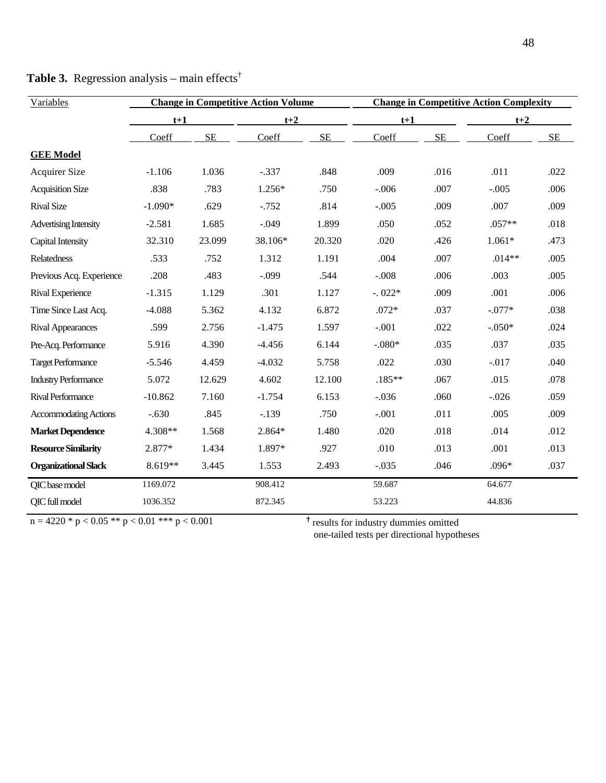| Variables                    |           |          | <b>Change in Competitive Action Volume</b> |           | <b>Change in Competitive Action Complexity</b> |           |          |      |  |
|------------------------------|-----------|----------|--------------------------------------------|-----------|------------------------------------------------|-----------|----------|------|--|
|                              | $t+1$     |          | $t+2$                                      |           | $t+1$                                          |           | $t+2$    |      |  |
|                              | Coeff     | $\rm SE$ | Coeff                                      | <b>SE</b> | Coeff                                          | <b>SE</b> | Coeff    | SE   |  |
| <b>GEE Model</b>             |           |          |                                            |           |                                                |           |          |      |  |
| <b>Acquirer Size</b>         | $-1.106$  | 1.036    | $-.337$                                    | .848      | .009                                           | .016      | .011     | .022 |  |
| <b>Acquisition Size</b>      | .838      | .783     | $1.256*$                                   | .750      | $-.006$                                        | .007      | $-.005$  | .006 |  |
| <b>Rival Size</b>            | $-1.090*$ | .629     | $-.752$                                    | .814      | $-.005$                                        | .009      | .007     | .009 |  |
| <b>Advertising Intensity</b> | $-2.581$  | 1.685    | $-.049$                                    | 1.899     | .050                                           | .052      | $.057**$ | .018 |  |
| Capital Intensity            | 32.310    | 23.099   | 38.106*                                    | 20.320    | .020                                           | .426      | $1.061*$ | .473 |  |
| Relatedness                  | .533      | .752     | 1.312                                      | 1.191     | .004                                           | .007      | $.014**$ | .005 |  |
| Previous Acq. Experience     | .208      | .483     | $-.099$                                    | .544      | $-.008$                                        | .006      | .003     | .005 |  |
| Rival Experience             | $-1.315$  | 1.129    | .301                                       | 1.127     | $-.022*$                                       | .009      | .001     | .006 |  |
| Time Since Last Acq.         | $-4.088$  | 5.362    | 4.132                                      | 6.872     | $.072*$                                        | .037      | $-.077*$ | .038 |  |
| <b>Rival Appearances</b>     | .599      | 2.756    | $-1.475$                                   | 1.597     | $-.001$                                        | .022      | $-.050*$ | .024 |  |
| Pre-Acq. Performance         | 5.916     | 4.390    | $-4.456$                                   | 6.144     | $-.080*$                                       | .035      | .037     | .035 |  |
| <b>Target Performance</b>    | $-5.546$  | 4.459    | $-4.032$                                   | 5.758     | .022                                           | .030      | $-.017$  | .040 |  |
| <b>Industry Performance</b>  | 5.072     | 12.629   | 4.602                                      | 12.100    | $.185**$                                       | .067      | .015     | .078 |  |
| Rival Performance            | $-10.862$ | 7.160    | $-1.754$                                   | 6.153     | $-.036$                                        | .060      | $-.026$  | .059 |  |
| <b>Accommodating Actions</b> | $-.630$   | .845     | $-.139$                                    | .750      | $-.001$                                        | .011      | .005     | .009 |  |
| <b>Market Dependence</b>     | 4.308**   | 1.568    | $2.864*$                                   | 1.480     | .020                                           | .018      | .014     | .012 |  |
| <b>Resource Similarity</b>   | 2.877*    | 1.434    | 1.897*                                     | .927      | .010                                           | .013      | .001     | .013 |  |
| <b>Organizational Slack</b>  | $8.619**$ | 3.445    | 1.553                                      | 2.493     | $-.035$                                        | .046      | $.096*$  | .037 |  |
| QIC base model               | 1169.072  |          | 908.412                                    |           | 59.687                                         |           | 64.677   |      |  |
| QIC full model               | 1036.352  |          | 872.345                                    |           | 53.223                                         |           | 44.836   |      |  |

| <b>Table 3.</b> Regression analysis – main effects <sup>†</sup> |  |  |  |  |  |
|-----------------------------------------------------------------|--|--|--|--|--|
|-----------------------------------------------------------------|--|--|--|--|--|

 $n = 4220 * p < 0.05 ** p < 0.01 ** p < 0.001$ 

 $\dagger$  results for industry dummies omitted<br>one-tailed tests per directional hypotheses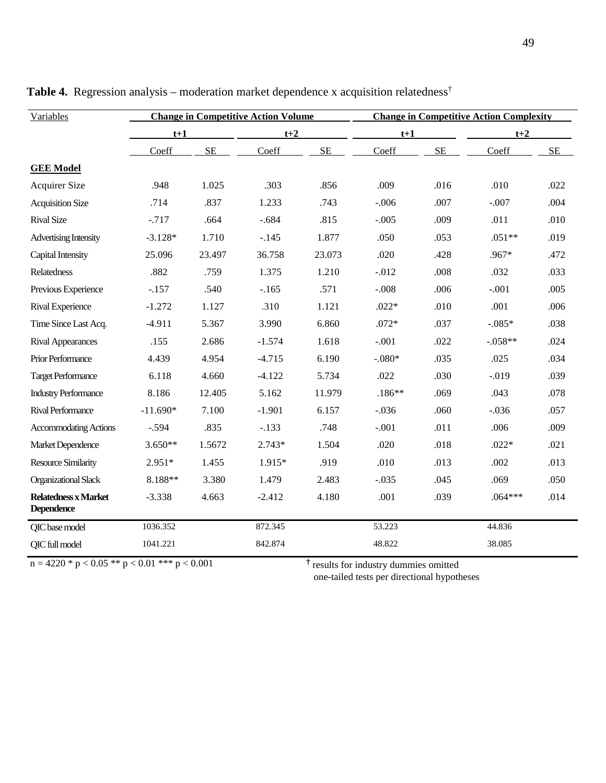| Variables                                       |            |           | <b>Change in Competitive Action Volume</b> |                                                   | <b>Change in Competitive Action Complexity</b> |      |           |      |  |  |  |
|-------------------------------------------------|------------|-----------|--------------------------------------------|---------------------------------------------------|------------------------------------------------|------|-----------|------|--|--|--|
|                                                 | $t+1$      |           | $t+2$                                      |                                                   | $t+1$                                          |      | $t+2$     |      |  |  |  |
|                                                 | Coeff      | <b>SE</b> | Coeff                                      | SE                                                | Coeff                                          | SE   | Coeff     | SE   |  |  |  |
| <b>GEE Model</b>                                |            |           |                                            |                                                   |                                                |      |           |      |  |  |  |
| <b>Acquirer Size</b>                            | .948       | 1.025     | .303                                       | .856                                              | .009                                           | .016 | .010      | .022 |  |  |  |
| <b>Acquisition Size</b>                         | .714       | .837      | 1.233                                      | .743                                              | $-.006$                                        | .007 | $-.007$   | .004 |  |  |  |
| <b>Rival Size</b>                               | $-.717$    | .664      | $-.684$                                    | .815                                              | $-.005$                                        | .009 | .011      | .010 |  |  |  |
| Advertising Intensity                           | $-3.128*$  | 1.710     | $-.145$                                    | 1.877                                             | .050                                           | .053 | $.051**$  | .019 |  |  |  |
| Capital Intensity                               | 25.096     | 23.497    | 36.758                                     | 23.073                                            | .020                                           | .428 | .967*     | .472 |  |  |  |
| <b>Relatedness</b>                              | .882       | .759      | 1.375                                      | 1.210                                             | $-.012$                                        | .008 | .032      | .033 |  |  |  |
| Previous Experience                             | $-.157$    | .540      | $-.165$                                    | .571                                              | $-.008$                                        | .006 | $-.001$   | .005 |  |  |  |
| Rival Experience                                | $-1.272$   | 1.127     | .310                                       | 1.121                                             | $.022*$                                        | .010 | .001      | .006 |  |  |  |
| Time Since Last Acq.                            | $-4.911$   | 5.367     | 3.990                                      | 6.860                                             | $.072*$                                        | .037 | $-.085*$  | .038 |  |  |  |
| <b>Rival Appearances</b>                        | .155       | 2.686     | $-1.574$                                   | 1.618                                             | $-.001$                                        | .022 | $-.058**$ | .024 |  |  |  |
| Prior Performance                               | 4.439      | 4.954     | $-4.715$                                   | 6.190                                             | $-.080*$                                       | .035 | .025      | .034 |  |  |  |
| <b>Target Performance</b>                       | 6.118      | 4.660     | $-4.122$                                   | 5.734                                             | .022                                           | .030 | $-.019$   | .039 |  |  |  |
| <b>Industry Performance</b>                     | 8.186      | 12.405    | 5.162                                      | 11.979                                            | $.186**$                                       | .069 | .043      | .078 |  |  |  |
| <b>Rival Performance</b>                        | $-11.690*$ | 7.100     | $-1.901$                                   | 6.157                                             | $-.036$                                        | .060 | $-.036$   | .057 |  |  |  |
| <b>Accommodating Actions</b>                    | $-.594$    | .835      | $-.133$                                    | .748                                              | $-.001$                                        | .011 | .006      | .009 |  |  |  |
| Market Dependence                               | $3.650**$  | 1.5672    | $2.743*$                                   | 1.504                                             | .020                                           | .018 | $.022*$   | .021 |  |  |  |
| <b>Resource Similarity</b>                      | $2.951*$   | 1.455     | 1.915*                                     | .919                                              | .010                                           | .013 | .002      | .013 |  |  |  |
| <b>Organizational Slack</b>                     | 8.188**    | 3.380     | 1.479                                      | 2.483                                             | $-.035$                                        | .045 | .069      | .050 |  |  |  |
| Relatedness x Market<br><b>Dependence</b>       | $-3.338$   | 4.663     | $-2.412$                                   | 4.180                                             | .001                                           | .039 | $.064***$ | .014 |  |  |  |
| QIC base model                                  | 1036.352   |           | 872.345                                    |                                                   | 53.223                                         |      | 44.836    |      |  |  |  |
| QIC full model                                  | 1041.221   |           | 842.874                                    |                                                   | 48.822                                         |      | 38.085    |      |  |  |  |
| $n = 4220 * p < 0.05 ** p < 0.01 *** p < 0.001$ |            |           |                                            | <sup>†</sup> results for industry dummies omitted |                                                |      |           |      |  |  |  |

Table 4. Regression analysis – moderation market dependence x acquisition relatedness<sup>†</sup>

one-tailed tests per directional hypotheses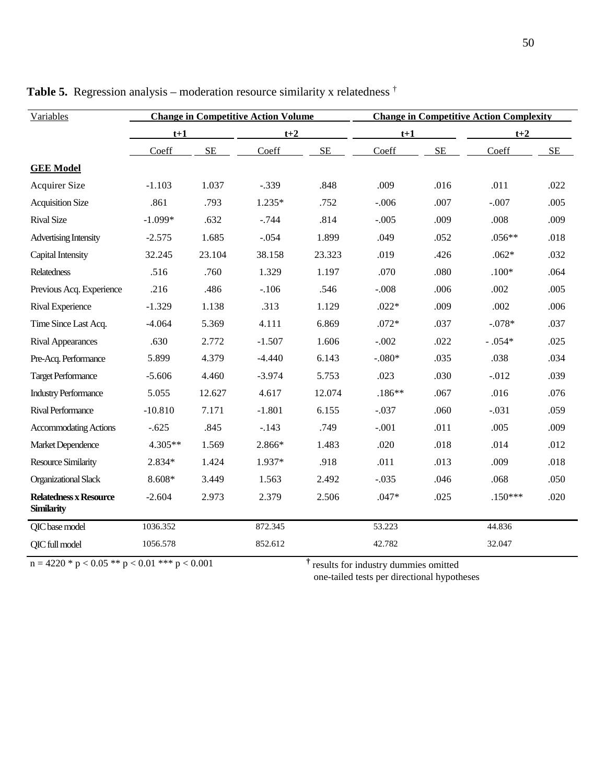| Variables                                          |           |          | <b>Change in Competitive Action Volume</b> |                                                   | <b>Change in Competitive Action Complexity</b> |           |           |           |  |  |  |
|----------------------------------------------------|-----------|----------|--------------------------------------------|---------------------------------------------------|------------------------------------------------|-----------|-----------|-----------|--|--|--|
|                                                    | $t+1$     |          | $t+2$                                      |                                                   | $t+1$                                          |           | $t+2$     |           |  |  |  |
|                                                    | Coeff     | $\rm SE$ | Coeff                                      | <b>SE</b>                                         | Coeff                                          | <b>SE</b> | Coeff     | <b>SE</b> |  |  |  |
| <b>GEE Model</b>                                   |           |          |                                            |                                                   |                                                |           |           |           |  |  |  |
| Acquirer Size                                      | $-1.103$  | 1.037    | $-.339$                                    | .848                                              | .009                                           | .016      | .011      | .022      |  |  |  |
| <b>Acquisition Size</b>                            | .861      | .793     | $1.235*$                                   | .752                                              | $-.006$                                        | .007      | $-.007$   | .005      |  |  |  |
| <b>Rival Size</b>                                  | $-1.099*$ | .632     | $-0.744$                                   | .814                                              | $-.005$                                        | .009      | .008      | .009      |  |  |  |
| <b>Advertising Intensity</b>                       | $-2.575$  | 1.685    | $-.054$                                    | 1.899                                             | .049                                           | .052      | $.056**$  | .018      |  |  |  |
| Capital Intensity                                  | 32.245    | 23.104   | 38.158                                     | 23.323                                            | .019                                           | .426      | $.062*$   | .032      |  |  |  |
| Relatedness                                        | .516      | .760     | 1.329                                      | 1.197                                             | .070                                           | .080      | $.100*$   | .064      |  |  |  |
| Previous Acq. Experience                           | .216      | .486     | $-.106$                                    | .546                                              | $-.008$                                        | .006      | .002      | .005      |  |  |  |
| Rival Experience                                   | $-1.329$  | 1.138    | .313                                       | 1.129                                             | $.022*$                                        | .009      | .002      | .006      |  |  |  |
| Time Since Last Acq.                               | $-4.064$  | 5.369    | 4.111                                      | 6.869                                             | $.072*$                                        | .037      | $-.078*$  | .037      |  |  |  |
| <b>Rival Appearances</b>                           | .630      | 2.772    | $-1.507$                                   | 1.606                                             | $-.002$                                        | .022      | $-.054*$  | .025      |  |  |  |
| Pre-Acq. Performance                               | 5.899     | 4.379    | $-4.440$                                   | 6.143                                             | $-.080*$                                       | .035      | .038      | .034      |  |  |  |
| <b>Target Performance</b>                          | $-5.606$  | 4.460    | $-3.974$                                   | 5.753                                             | .023                                           | .030      | $-.012$   | .039      |  |  |  |
| <b>Industry Performance</b>                        | 5.055     | 12.627   | 4.617                                      | 12.074                                            | $.186**$                                       | .067      | .016      | .076      |  |  |  |
| <b>Rival Performance</b>                           | $-10.810$ | 7.171    | $-1.801$                                   | 6.155                                             | $-.037$                                        | .060      | $-.031$   | .059      |  |  |  |
| <b>Accommodating Actions</b>                       | $-.625$   | .845     | $-.143$                                    | .749                                              | $-.001$                                        | .011      | .005      | .009      |  |  |  |
| Market Dependence                                  | 4.305**   | 1.569    | 2.866*                                     | 1.483                                             | .020                                           | .018      | .014      | .012      |  |  |  |
| <b>Resource Similarity</b>                         | 2.834*    | 1.424    | 1.937*                                     | .918                                              | .011                                           | .013      | .009      | .018      |  |  |  |
| <b>Organizational Slack</b>                        | 8.608*    | 3.449    | 1.563                                      | 2.492                                             | $-.035$                                        | .046      | .068      | .050      |  |  |  |
| <b>Relatedness x Resource</b><br><b>Similarity</b> | $-2.604$  | 2.973    | 2.379                                      | 2.506                                             | $.047*$                                        | .025      | $.150***$ | .020      |  |  |  |
| QIC base model                                     | 1036.352  |          | 872.345                                    |                                                   | 53.223                                         |           | 44.836    |           |  |  |  |
| QIC full model                                     | 1056.578  |          | 852.612                                    |                                                   | 42.782                                         |           | 32.047    |           |  |  |  |
| $n = 4220 * p < 0.05 ** p < 0.01 *** p < 0.001$    |           |          |                                            | <sup>†</sup> results for industry dummies omitted |                                                |           |           |           |  |  |  |

**Table 5.** Regression analysis – moderation resource similarity x relatedness  $\dagger$ 

one-tailed tests per directional hypotheses